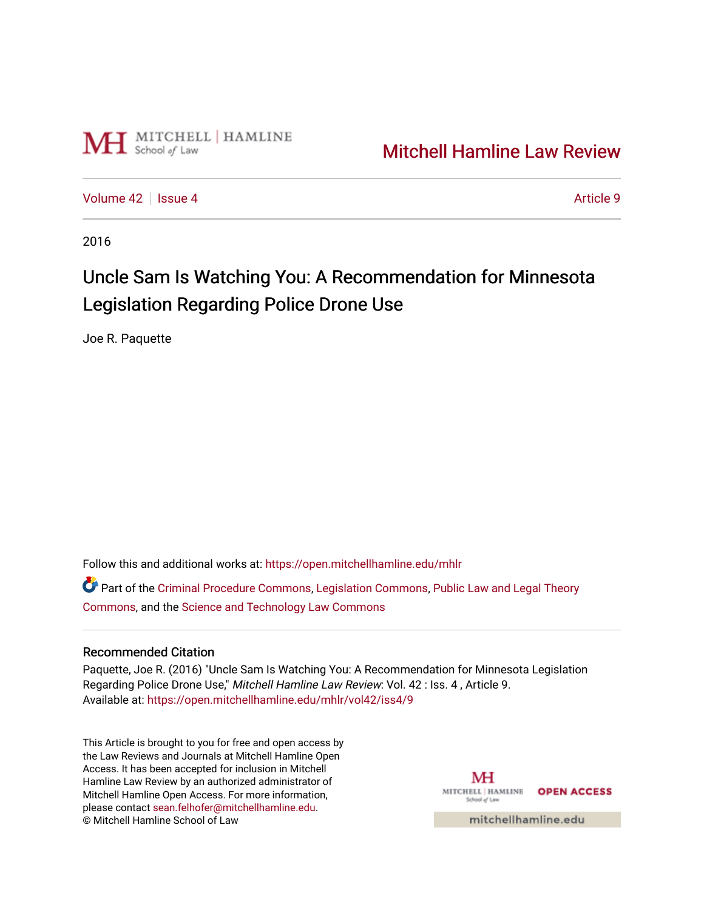

## [Mitchell Hamline Law Review](https://open.mitchellhamline.edu/mhlr)

[Volume 42](https://open.mitchellhamline.edu/mhlr/vol42) | [Issue 4](https://open.mitchellhamline.edu/mhlr/vol42/iss4) Article 9

2016

# Uncle Sam Is Watching You: A Recommendation for Minnesota Legislation Regarding Police Drone Use

Joe R. Paquette

Follow this and additional works at: [https://open.mitchellhamline.edu/mhlr](https://open.mitchellhamline.edu/mhlr?utm_source=open.mitchellhamline.edu%2Fmhlr%2Fvol42%2Fiss4%2F9&utm_medium=PDF&utm_campaign=PDFCoverPages) 

Part of the [Criminal Procedure Commons,](http://network.bepress.com/hgg/discipline/1073?utm_source=open.mitchellhamline.edu%2Fmhlr%2Fvol42%2Fiss4%2F9&utm_medium=PDF&utm_campaign=PDFCoverPages) [Legislation Commons](http://network.bepress.com/hgg/discipline/859?utm_source=open.mitchellhamline.edu%2Fmhlr%2Fvol42%2Fiss4%2F9&utm_medium=PDF&utm_campaign=PDFCoverPages), [Public Law and Legal Theory](http://network.bepress.com/hgg/discipline/871?utm_source=open.mitchellhamline.edu%2Fmhlr%2Fvol42%2Fiss4%2F9&utm_medium=PDF&utm_campaign=PDFCoverPages) [Commons](http://network.bepress.com/hgg/discipline/871?utm_source=open.mitchellhamline.edu%2Fmhlr%2Fvol42%2Fiss4%2F9&utm_medium=PDF&utm_campaign=PDFCoverPages), and the [Science and Technology Law Commons](http://network.bepress.com/hgg/discipline/875?utm_source=open.mitchellhamline.edu%2Fmhlr%2Fvol42%2Fiss4%2F9&utm_medium=PDF&utm_campaign=PDFCoverPages)

## Recommended Citation

Paquette, Joe R. (2016) "Uncle Sam Is Watching You: A Recommendation for Minnesota Legislation Regarding Police Drone Use," Mitchell Hamline Law Review: Vol. 42 : Iss. 4 , Article 9. Available at: [https://open.mitchellhamline.edu/mhlr/vol42/iss4/9](https://open.mitchellhamline.edu/mhlr/vol42/iss4/9?utm_source=open.mitchellhamline.edu%2Fmhlr%2Fvol42%2Fiss4%2F9&utm_medium=PDF&utm_campaign=PDFCoverPages) 

This Article is brought to you for free and open access by the Law Reviews and Journals at Mitchell Hamline Open Access. It has been accepted for inclusion in Mitchell Hamline Law Review by an authorized administrator of Mitchell Hamline Open Access. For more information, please contact [sean.felhofer@mitchellhamline.edu.](mailto:sean.felhofer@mitchellhamline.edu) © Mitchell Hamline School of Law

MH MITCHELL HAMLINE OPEN ACCESS School of Law

mitchellhamline.edu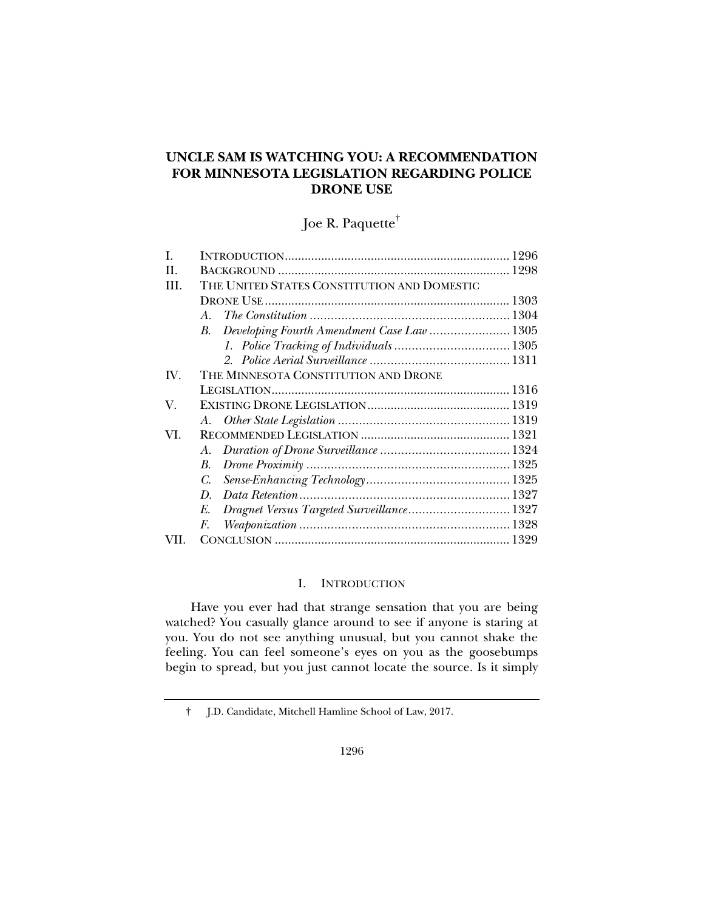## **UNCLE SAM IS WATCHING YOU: A RECOMMENDATION FOR MINNESOTA LEGISLATION REGARDING POLICE DRONE USE**

Joe R. Paquette†

| L   |                                                  |  |
|-----|--------------------------------------------------|--|
| H   |                                                  |  |
| Ш   | THE UNITED STATES CONSTITUTION AND DOMESTIC      |  |
|     |                                                  |  |
|     | $\overline{A}$                                   |  |
|     | Developing Fourth Amendment Case Law  1305<br>B. |  |
|     |                                                  |  |
|     |                                                  |  |
| IV. | THE MINNESOTA CONSTITUTION AND DRONE             |  |
|     |                                                  |  |
| V.  |                                                  |  |
|     |                                                  |  |
| VI. |                                                  |  |
|     | A.                                               |  |
|     | B.                                               |  |
|     | C.                                               |  |
|     | D.                                               |  |
|     | Dragnet Versus Targeted Surveillance 1327<br>E.  |  |
|     | F.                                               |  |
|     |                                                  |  |

### I. INTRODUCTION

Have you ever had that strange sensation that you are being watched? You casually glance around to see if anyone is staring at you. You do not see anything unusual, but you cannot shake the feeling. You can feel someone's eyes on you as the goosebumps begin to spread, but you just cannot locate the source. Is it simply

† J.D. Candidate, Mitchell Hamline School of Law, 2017.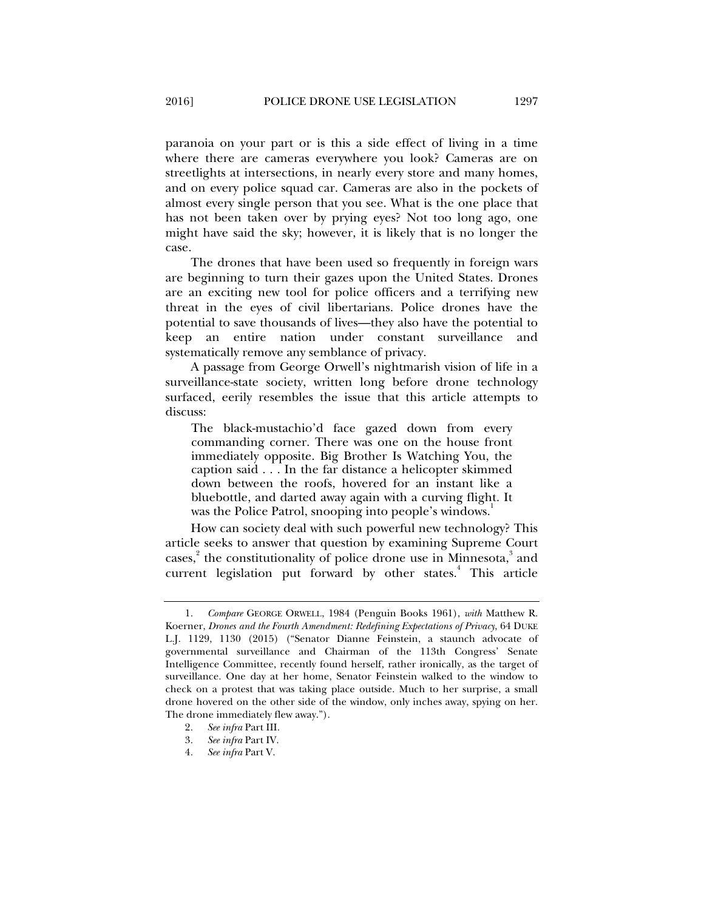paranoia on your part or is this a side effect of living in a time where there are cameras everywhere you look? Cameras are on streetlights at intersections, in nearly every store and many homes, and on every police squad car. Cameras are also in the pockets of almost every single person that you see. What is the one place that has not been taken over by prying eyes? Not too long ago, one might have said the sky; however, it is likely that is no longer the case.

The drones that have been used so frequently in foreign wars are beginning to turn their gazes upon the United States. Drones are an exciting new tool for police officers and a terrifying new threat in the eyes of civil libertarians. Police drones have the potential to save thousands of lives—they also have the potential to keep an entire nation under constant surveillance and systematically remove any semblance of privacy.

A passage from George Orwell's nightmarish vision of life in a surveillance-state society, written long before drone technology surfaced, eerily resembles the issue that this article attempts to discuss:

The black-mustachio'd face gazed down from every commanding corner. There was one on the house front immediately opposite. Big Brother Is Watching You, the caption said . . . In the far distance a helicopter skimmed down between the roofs, hovered for an instant like a bluebottle, and darted away again with a curving flight. It was the Police Patrol, snooping into people's windows.<sup>1</sup>

How can society deal with such powerful new technology? This article seeks to answer that question by examining Supreme Court cases,<sup>2</sup> the constitutionality of police drone use in Minnesota,<sup>3</sup> and current legislation put forward by other states.<sup>4</sup> This article

 <sup>1.</sup> *Compare* GEORGE ORWELL, 1984 (Penguin Books 1961), *with* Matthew R. Koerner, *Drones and the Fourth Amendment: Redefining Expectations of Privacy*, 64 DUKE L.J. 1129, 1130 (2015) ("Senator Dianne Feinstein, a staunch advocate of governmental surveillance and Chairman of the 113th Congress' Senate Intelligence Committee, recently found herself, rather ironically, as the target of surveillance. One day at her home, Senator Feinstein walked to the window to check on a protest that was taking place outside. Much to her surprise, a small drone hovered on the other side of the window, only inches away, spying on her. The drone immediately flew away.").

<sup>2</sup>*. See infra* Part III.

<sup>3</sup>*. See infra* Part IV.

<sup>4</sup>*. See infra* Part V.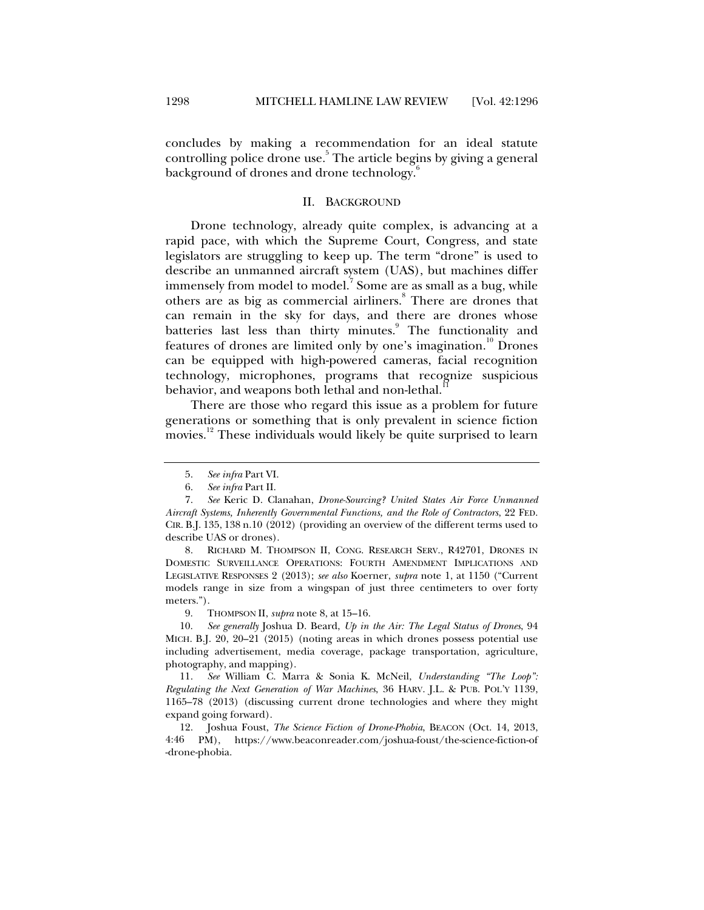concludes by making a recommendation for an ideal statute controlling police drone use.<sup>5</sup> The article begins by giving a general background of drones and drone technology.<sup>6</sup>

#### II. BACKGROUND

Drone technology, already quite complex, is advancing at a rapid pace, with which the Supreme Court, Congress, and state legislators are struggling to keep up. The term "drone" is used to describe an unmanned aircraft system (UAS), but machines differ immensely from model to model. $^7$  Some are as small as a bug, while others are as big as commercial airliners.<sup>8</sup> There are drones that can remain in the sky for days, and there are drones whose batteries last less than thirty minutes.<sup>9</sup> The functionality and features of drones are limited only by one's imagination.<sup>10</sup> Drones can be equipped with high-powered cameras, facial recognition technology, microphones, programs that recognize suspicious behavior, and weapons both lethal and non-lethal.<sup>1</sup>

There are those who regard this issue as a problem for future generations or something that is only prevalent in science fiction movies.<sup>12</sup> These individuals would likely be quite surprised to learn

 8. RICHARD M. THOMPSON II, CONG. RESEARCH SERV., R42701, DRONES IN DOMESTIC SURVEILLANCE OPERATIONS: FOURTH AMENDMENT IMPLICATIONS AND LEGISLATIVE RESPONSES 2 (2013); *see also* Koerner, *supra* note 1, at 1150 ("Current models range in size from a wingspan of just three centimeters to over forty meters.").

9. THOMPSON II, *supra* note 8, at 15–16.

 10. *See generally* Joshua D. Beard, *Up in the Air: The Legal Status of Drones*, 94 MICH. B.J. 20, 20–21 (2015) (noting areas in which drones possess potential use including advertisement, media coverage, package transportation, agriculture, photography, and mapping).

 11. *See* William C. Marra & Sonia K. McNeil, *Understanding "The Loop": Regulating the Next Generation of War Machines*, 36 HARV. J.L. & PUB. POL'Y 1139, 1165–78 (2013) (discussing current drone technologies and where they might expand going forward).

 12. Joshua Foust, *The Science Fiction of Drone-Phobia*, BEACON (Oct. 14, 2013, 4:46 PM), https://www.beaconreader.com/joshua-foust/the-science-fiction-of -drone-phobia.

 <sup>5.</sup> *See infra* Part VI.

 <sup>6.</sup> *See infra* Part II.

 <sup>7.</sup> *See* Keric D. Clanahan, *Drone-Sourcing? United States Air Force Unmanned Aircraft Systems, Inherently Governmental Functions, and the Role of Contractors*, 22 FED. CIR. B.J. 135, 138 n.10 (2012) (providing an overview of the different terms used to describe UAS or drones).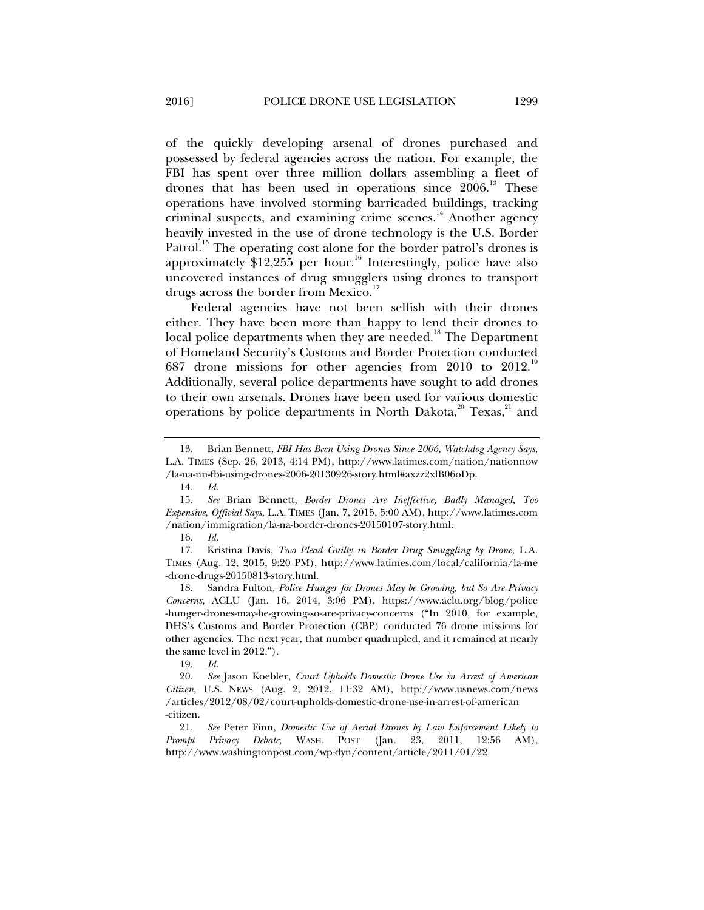of the quickly developing arsenal of drones purchased and possessed by federal agencies across the nation. For example, the FBI has spent over three million dollars assembling a fleet of drones that has been used in operations since  $2006<sup>13</sup>$ . These operations have involved storming barricaded buildings, tracking criminal suspects, and examining crime scenes. $14$  Another agency heavily invested in the use of drone technology is the U.S. Border Patrol.<sup>15</sup> The operating cost alone for the border patrol's drones is approximately  $$12,255$  per hour.<sup>16</sup> Interestingly, police have also uncovered instances of drug smugglers using drones to transport drugs across the border from Mexico.<sup>17</sup>

Federal agencies have not been selfish with their drones either. They have been more than happy to lend their drones to local police departments when they are needed.<sup>18</sup> The Department of Homeland Security's Customs and Border Protection conducted 687 drone missions for other agencies from 2010 to 2012.<sup>19</sup> Additionally, several police departments have sought to add drones to their own arsenals. Drones have been used for various domestic operations by police departments in North Dakota, $^{20}$  Texas, $^{21}$  and

19. *Id.*

 <sup>13.</sup> Brian Bennett, *FBI Has Been Using Drones Since 2006, Watchdog Agency Says*, L.A. TIMES (Sep. 26, 2013, 4:14 PM), http://www.latimes.com/nation/nationnow /la-na-nn-fbi-using-drones-2006-20130926-story.html#axzz2xlB06oDp.

 <sup>14.</sup> *Id.*

 <sup>15.</sup> *See* Brian Bennett, *Border Drones Are Ineffective, Badly Managed, Too Expensive, Official Says,* L.A. TIMES (Jan. 7, 2015, 5:00 AM), http://www.latimes.com /nation/immigration/la-na-border-drones-20150107-story.html.

 <sup>16.</sup> *Id.*

 <sup>17.</sup> Kristina Davis, *Two Plead Guilty in Border Drug Smuggling by Drone,* L.A. TIMES (Aug. 12, 2015, 9:20 PM), http://www.latimes.com/local/california/la-me -drone-drugs-20150813-story.html.

 <sup>18.</sup> Sandra Fulton, *Police Hunger for Drones May be Growing, but So Are Privacy Concerns,* ACLU (Jan. 16, 2014, 3:06 PM), https://www.aclu.org/blog/police -hunger-drones-may-be-growing-so-are-privacy-concerns ("In 2010, for example, DHS's Customs and Border Protection (CBP) conducted 76 drone missions for other agencies. The next year, that number quadrupled, and it remained at nearly the same level in 2012.").

 <sup>20.</sup> *See* Jason Koebler, *Court Upholds Domestic Drone Use in Arrest of American Citizen*, U.S. NEWS (Aug. 2, 2012, 11:32 AM), http://www.usnews.com/news /articles/2012/08/02/court-upholds-domestic-drone-use-in-arrest-of-american -citizen.

 <sup>21.</sup> *See* Peter Finn, *Domestic Use of Aerial Drones by Law Enforcement Likely to Prompt Privacy Debate,* WASH. POST (Jan. 23, 2011, 12:56 AM), http://www.washingtonpost.com/wp-dyn/content/article/2011/01/22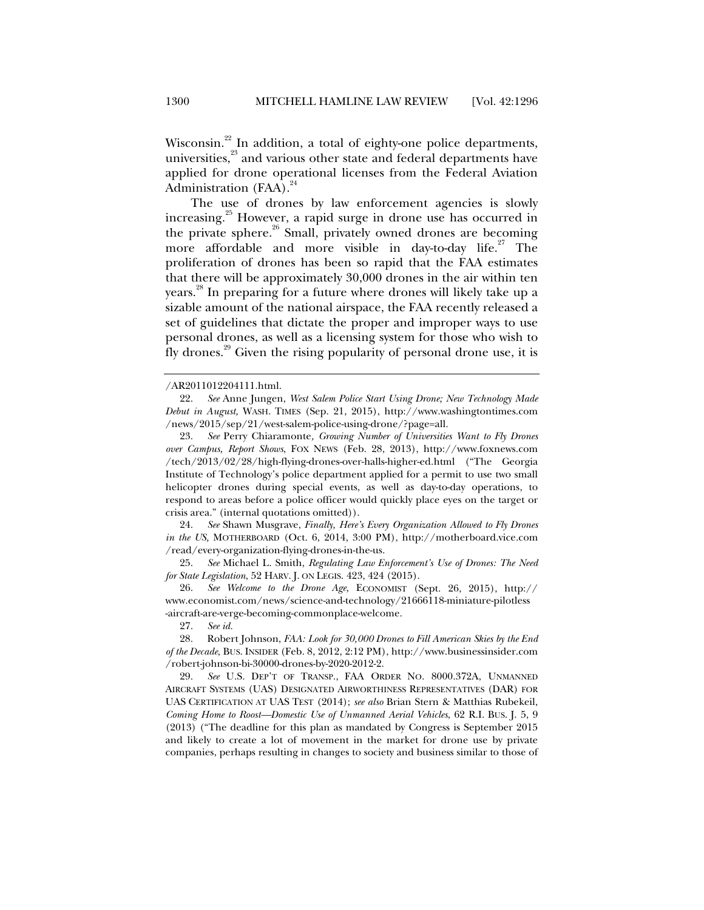Wisconsin.<sup>22</sup> In addition, a total of eighty-one police departments, universities,<sup>23</sup> and various other state and federal departments have applied for drone operational licenses from the Federal Aviation Administration  $(FAA)$ .<sup>24</sup>

The use of drones by law enforcement agencies is slowly increasing.<sup>25</sup> However, a rapid surge in drone use has occurred in the private sphere.<sup>26</sup> Small, privately owned drones are becoming more affordable and more visible in day-to-day life.<sup>27</sup> The proliferation of drones has been so rapid that the FAA estimates that there will be approximately 30,000 drones in the air within ten years.28 In preparing for a future where drones will likely take up a sizable amount of the national airspace, the FAA recently released a set of guidelines that dictate the proper and improper ways to use personal drones, as well as a licensing system for those who wish to fly drones.<sup>29</sup> Given the rising popularity of personal drone use, it is

 24. *See* Shawn Musgrave, *Finally, Here's Every Organization Allowed to Fly Drones in the US,* MOTHERBOARD (Oct. 6, 2014, 3:00 PM), http://motherboard.vice.com /read/every-organization-flying-drones-in-the-us.

 25. *See* Michael L. Smith, *Regulating Law Enforcement's Use of Drones: The Need for State Legislation*, 52 HARV. J. ON LEGIS. 423, 424 (2015).

 26. *See Welcome to the Drone Age,* ECONOMIST (Sept. 26, 2015), http:// www.economist.com/news/science-and-technology/21666118-miniature-pilotless -aircraft-are-verge-becoming-commonplace-welcome.

27. *See id.*

 28. Robert Johnson, *FAA: Look for 30,000 Drones to Fill American Skies by the End of the Decade*, BUS. INSIDER (Feb. 8, 2012, 2:12 PM), http://www.businessinsider.com /robert-johnson-bi-30000-drones-by-2020-2012-2.

 29. *See* U.S. DEP'T OF TRANSP., FAA ORDER NO. 8000.372A, UNMANNED AIRCRAFT SYSTEMS (UAS) DESIGNATED AIRWORTHINESS REPRESENTATIVES (DAR) FOR UAS CERTIFICATION AT UAS TEST (2014); *see also* Brian Stern & Matthias Rubekeil, *Coming Home to Roost—Domestic Use of Unmanned Aerial Vehicles*, 62 R.I. BUS. J. 5, 9 (2013) ("The deadline for this plan as mandated by Congress is September 2015 and likely to create a lot of movement in the market for drone use by private companies, perhaps resulting in changes to society and business similar to those of

<sup>/</sup>AR2011012204111.html.

 <sup>22.</sup> *See* Anne Jungen, *West Salem Police Start Using Drone; New Technology Made Debut in August,* WASH. TIMES (Sep. 21, 2015), http://www.washingtontimes.com /news/2015/sep/21/west-salem-police-using-drone/?page=all.

 <sup>23.</sup> *See* Perry Chiaramonte*, Growing Number of Universities Want to Fly Drones over Campus, Report Shows*, FOX NEWS (Feb. 28, 2013), http://www.foxnews.com /tech/2013/02/28/high-flying-drones-over-halls-higher-ed.html ("The Georgia Institute of Technology's police department applied for a permit to use two small helicopter drones during special events, as well as day-to-day operations, to respond to areas before a police officer would quickly place eyes on the target or crisis area." (internal quotations omitted)).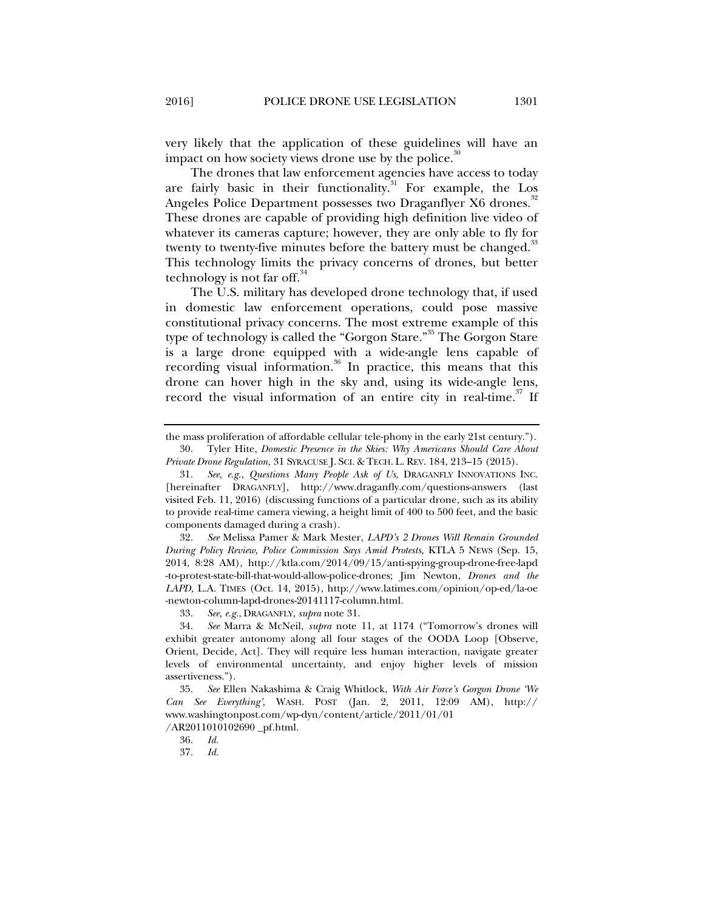very likely that the application of these guidelines will have an impact on how society views drone use by the police. $30$ 

The drones that law enforcement agencies have access to today are fairly basic in their functionality.<sup>31</sup> For example, the Los Angeles Police Department possesses two Draganflyer X6 drones.<sup>32</sup> These drones are capable of providing high definition live video of whatever its cameras capture; however, they are only able to fly for twenty to twenty-five minutes before the battery must be changed.<sup>33</sup> This technology limits the privacy concerns of drones, but better technology is not far off. $34$ 

The U.S. military has developed drone technology that, if used in domestic law enforcement operations, could pose massive constitutional privacy concerns. The most extreme example of this type of technology is called the "Gorgon Stare."<sup>35</sup> The Gorgon Stare is a large drone equipped with a wide-angle lens capable of recording visual information.<sup>36</sup> In practice, this means that this drone can hover high in the sky and, using its wide-angle lens, record the visual information of an entire city in real-time.<sup>37</sup> If

the mass proliferation of affordable cellular tele-phony in the early 21st century."). 30. Tyler Hite, *Domestic Presence in the Skies: Why Americans Should Care About* 

*Private Drone Regulation,* 31 SYRACUSE J. SCI. & TECH. L. REV. 184, 213–15 (2015).

 <sup>31.</sup> *See, e.g.*, *Questions Many People Ask of Us*, DRAGANFLY INNOVATIONS INC. [hereinafter DRAGANFLY], http://www.draganfly.com/questions-answers (last visited Feb. 11, 2016) (discussing functions of a particular drone, such as its ability to provide real-time camera viewing, a height limit of 400 to 500 feet, and the basic components damaged during a crash).

 <sup>32.</sup> *See* Melissa Pamer & Mark Mester, *LAPD's 2 Drones Will Remain Grounded During Policy Review, Police Commission Says Amid Protests,* KTLA 5 NEWS (Sep. 15, 2014, 8:28 AM), http://ktla.com/2014/09/15/anti-spying-group-drone-free-lapd -to-protest-state-bill-that-would-allow-police-drones; Jim Newton, *Drones and the LAPD,* L.A. TIMES (Oct. 14, 2015), http://www.latimes.com/opinion/op-ed/la-oe -newton-column-lapd-drones-20141117-column.html.

 <sup>33.</sup> *See, e.g.*, DRAGANFLY, *supra* note 31.

 <sup>34.</sup> *See* Marra & McNeil, *supra* note 11, at 1174 ("Tomorrow's drones will exhibit greater autonomy along all four stages of the OODA Loop [Observe, Orient, Decide, Act]. They will require less human interaction, navigate greater levels of environmental uncertainty, and enjoy higher levels of mission assertiveness.").

 <sup>35.</sup> *See* Ellen Nakashima & Craig Whitlock, *With Air Force's Gorgon Drone 'We Can See Everything',* WASH. POST (Jan. 2, 2011, 12:09 AM), http:// www.washingtonpost.com/wp-dyn/content/article/2011/01/01 /AR2011010102690 \_pf.html.

 <sup>36.</sup> *Id.*

 <sup>37.</sup> *Id.*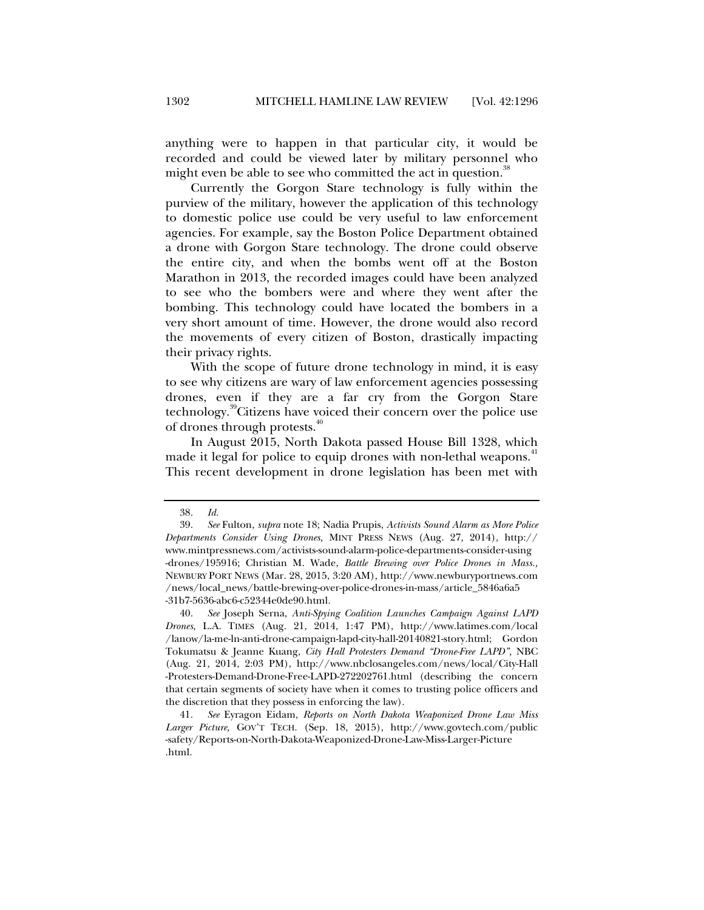anything were to happen in that particular city, it would be recorded and could be viewed later by military personnel who might even be able to see who committed the act in question.<sup>38</sup>

Currently the Gorgon Stare technology is fully within the purview of the military, however the application of this technology to domestic police use could be very useful to law enforcement agencies. For example, say the Boston Police Department obtained a drone with Gorgon Stare technology. The drone could observe the entire city, and when the bombs went off at the Boston Marathon in 2013, the recorded images could have been analyzed to see who the bombers were and where they went after the bombing. This technology could have located the bombers in a very short amount of time. However, the drone would also record the movements of every citizen of Boston, drastically impacting their privacy rights.

With the scope of future drone technology in mind, it is easy to see why citizens are wary of law enforcement agencies possessing drones, even if they are a far cry from the Gorgon Stare technology.39Citizens have voiced their concern over the police use of drones through protests.<sup>40</sup>

In August 2015, North Dakota passed House Bill 1328, which made it legal for police to equip drones with non-lethal weapons.<sup>41</sup> This recent development in drone legislation has been met with

 <sup>38.</sup> *Id.*

 <sup>39.</sup> *See* Fulton, *supra* note 18; Nadia Prupis, *Activists Sound Alarm as More Police Departments Consider Using Drones,* MINT PRESS NEWS (Aug. 27, 2014), http:// www.mintpressnews.com/activists-sound-alarm-police-departments-consider-using -drones/195916; Christian M. Wade, *Battle Brewing over Police Drones in Mass.,* NEWBURY PORT NEWS (Mar. 28, 2015, 3:20 AM), http://www.newburyportnews.com /news/local\_news/battle-brewing-over-police-drones-in-mass/article\_5846a6a5 -31b7-5636-abc6-c52344e0de90.html.

 <sup>40.</sup> *See* Joseph Serna, *Anti-Spying Coalition Launches Campaign Against LAPD Drones,* L.A. TIMES (Aug. 21, 2014, 1:47 PM), http://www.latimes.com/local /lanow/la-me-ln-anti-drone-campaign-lapd-city-hall-20140821-story.html; Gordon Tokumatsu & Jeanne Kuang, *City Hall Protesters Demand "Drone-Free LAPD",* NBC (Aug. 21, 2014, 2:03 PM), http://www.nbclosangeles.com/news/local/City-Hall -Protesters-Demand-Drone-Free-LAPD-272202761.html (describing the concern that certain segments of society have when it comes to trusting police officers and the discretion that they possess in enforcing the law).

 <sup>41.</sup> *See* Eyragon Eidam, *Reports on North Dakota Weaponized Drone Law Miss Larger Picture,* GOV'T TECH. (Sep. 18, 2015), http://www.govtech.com/public -safety/Reports-on-North-Dakota-Weaponized-Drone-Law-Miss-Larger-Picture .html.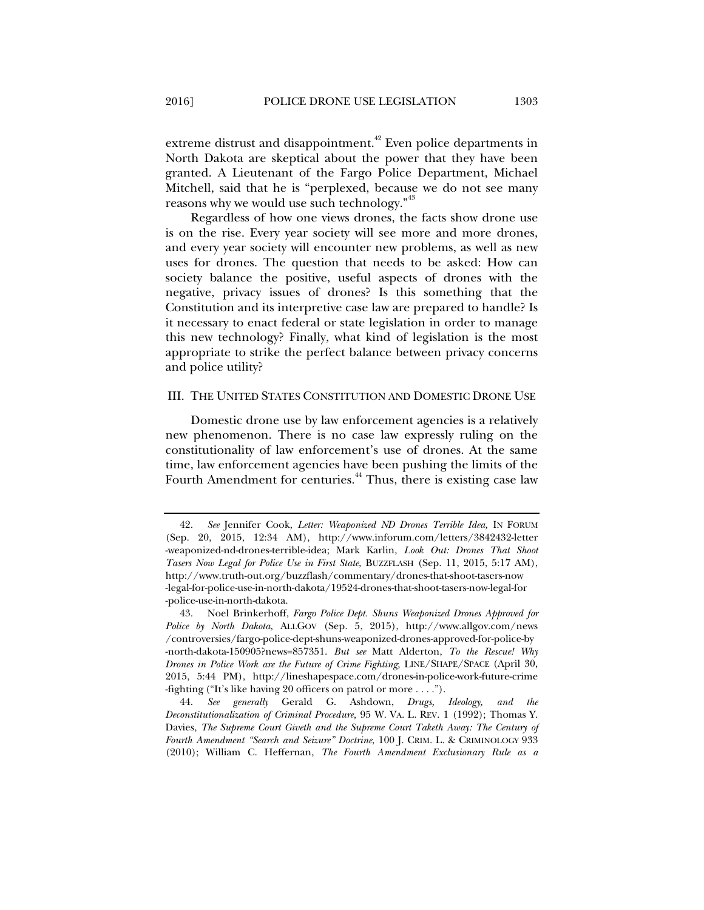extreme distrust and disappointment.<sup>42</sup> Even police departments in North Dakota are skeptical about the power that they have been granted. A Lieutenant of the Fargo Police Department, Michael Mitchell, said that he is "perplexed, because we do not see many reasons why we would use such technology."<sup>43</sup>

Regardless of how one views drones, the facts show drone use is on the rise. Every year society will see more and more drones, and every year society will encounter new problems, as well as new uses for drones. The question that needs to be asked: How can society balance the positive, useful aspects of drones with the negative, privacy issues of drones? Is this something that the Constitution and its interpretive case law are prepared to handle? Is it necessary to enact federal or state legislation in order to manage this new technology? Finally, what kind of legislation is the most appropriate to strike the perfect balance between privacy concerns and police utility?

#### III. THE UNITED STATES CONSTITUTION AND DOMESTIC DRONE USE

Domestic drone use by law enforcement agencies is a relatively new phenomenon. There is no case law expressly ruling on the constitutionality of law enforcement's use of drones. At the same time, law enforcement agencies have been pushing the limits of the Fourth Amendment for centuries.<sup>44</sup> Thus, there is existing case law

 <sup>42.</sup> *See* Jennifer Cook, *Letter: Weaponized ND Drones Terrible Idea,* IN FORUM (Sep. 20, 2015, 12:34 AM), http://www.inforum.com/letters/3842432-letter -weaponized-nd-drones-terrible-idea; Mark Karlin, *Look Out: Drones That Shoot Tasers Now Legal for Police Use in First State,* BUZZFLASH (Sep. 11, 2015, 5:17 AM), http://www.truth-out.org/buzzflash/commentary/drones-that-shoot-tasers-now -legal-for-police-use-in-north-dakota/19524-drones-that-shoot-tasers-now-legal-for -police-use-in-north-dakota.

 <sup>43.</sup> Noel Brinkerhoff, *Fargo Police Dept. Shuns Weaponized Drones Approved for Police by North Dakota,* ALLGOV (Sep. 5, 2015), http://www.allgov.com/news /controversies/fargo-police-dept-shuns-weaponized-drones-approved-for-police-by -north-dakota-150905?news=857351. *But see* Matt Alderton, *To the Rescue! Why Drones in Police Work are the Future of Crime Fighting*, LINE/SHAPE/SPACE (April 30, 2015, 5:44 PM), http://lineshapespace.com/drones-in-police-work-future-crime -fighting ("It's like having 20 officers on patrol or more . . . .").

 <sup>44.</sup> *See generally* Gerald G. Ashdown, *Drugs, Ideology, and the Deconstitutionalization of Criminal Procedure,* 95 W. VA. L. REV. 1 (1992); Thomas Y. Davies, *The Supreme Court Giveth and the Supreme Court Taketh Away: The Century of Fourth Amendment "Search and Seizure" Doctrine*, 100 J. CRIM. L. & CRIMINOLOGY 933 (2010); William C. Heffernan, *The Fourth Amendment Exclusionary Rule as a*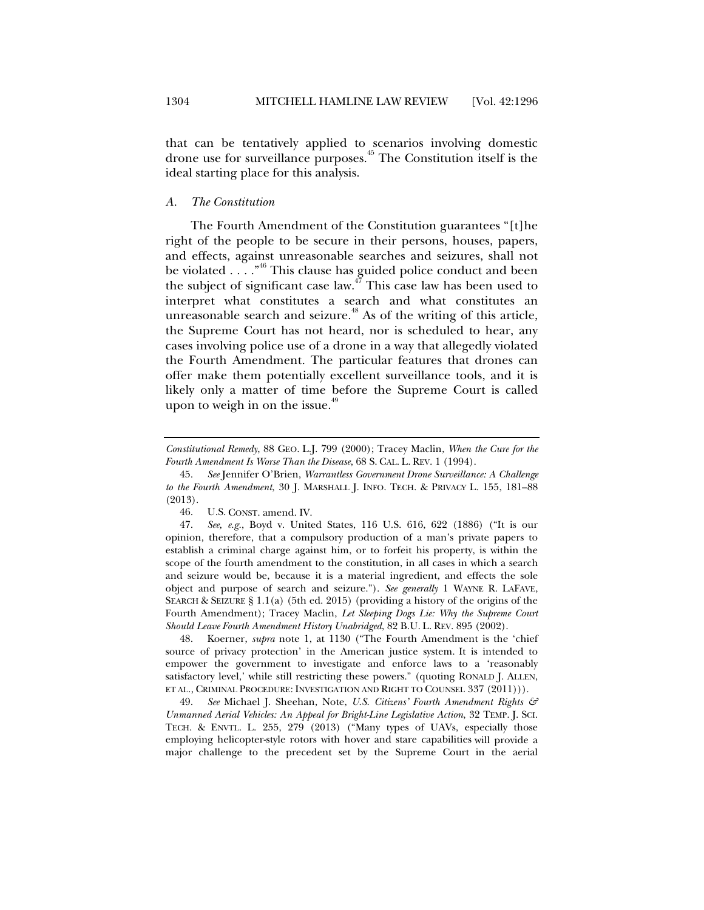that can be tentatively applied to scenarios involving domestic drone use for surveillance purposes.<sup>45</sup> The Constitution itself is the ideal starting place for this analysis.

#### *A. The Constitution*

The Fourth Amendment of the Constitution guarantees "[t]he right of the people to be secure in their persons, houses, papers, and effects, against unreasonable searches and seizures, shall not be violated  $\dots$ ."<sup>46</sup> This clause has guided police conduct and been the subject of significant case law.<sup>47</sup> This case law has been used to interpret what constitutes a search and what constitutes an unreasonable search and seizure.<sup>48</sup> As of the writing of this article, the Supreme Court has not heard, nor is scheduled to hear, any cases involving police use of a drone in a way that allegedly violated the Fourth Amendment. The particular features that drones can offer make them potentially excellent surveillance tools, and it is likely only a matter of time before the Supreme Court is called upon to weigh in on the issue.<sup>49</sup>

 48. Koerner, *supra* note 1, at 1130 ("The Fourth Amendment is the 'chief source of privacy protection' in the American justice system. It is intended to empower the government to investigate and enforce laws to a 'reasonably satisfactory level,' while still restricting these powers." (quoting RONALD J. ALLEN, ET AL., CRIMINAL PROCEDURE: INVESTIGATION AND RIGHT TO COUNSEL 337 (2011))).

 49. *See* Michael J. Sheehan, Note, *U.S. Citizens' Fourth Amendment Rights & Unmanned Aerial Vehicles: An Appeal for Bright-Line Legislative Action*, 32 TEMP. J. SCI. TECH. & ENVTL. L. 255, 279 (2013) ("Many types of UAVs, especially those employing helicopter-style rotors with hover and stare capabilities will provide a major challenge to the precedent set by the Supreme Court in the aerial

*Constitutional Remedy*, 88 GEO. L.J. 799 (2000); Tracey Maclin, *When the Cure for the Fourth Amendment Is Worse Than the Disease*, 68 S. CAL. L. REV. 1 (1994).

 <sup>45.</sup> *See* Jennifer O'Brien, *Warrantless Government Drone Surveillance: A Challenge to the Fourth Amendment*, 30 J. MARSHALL J. INFO. TECH. & PRIVACY L. 155, 181–88 (2013).

 <sup>46.</sup> U.S. CONST. amend. IV.

 <sup>47.</sup> *See, e.g.*, Boyd v. United States, 116 U.S. 616, 622 (1886) ("It is our opinion, therefore, that a compulsory production of a man's private papers to establish a criminal charge against him, or to forfeit his property, is within the scope of the fourth amendment to the constitution, in all cases in which a search and seizure would be, because it is a material ingredient, and effects the sole object and purpose of search and seizure."). *See generally* 1 WAYNE R. LAFAVE, SEARCH & SEIZURE § 1.1(a) (5th ed. 2015) (providing a history of the origins of the Fourth Amendment); Tracey Maclin, *Let Sleeping Dogs Lie: Why the Supreme Court Should Leave Fourth Amendment History Unabridged*, 82 B.U. L. REV. 895 (2002).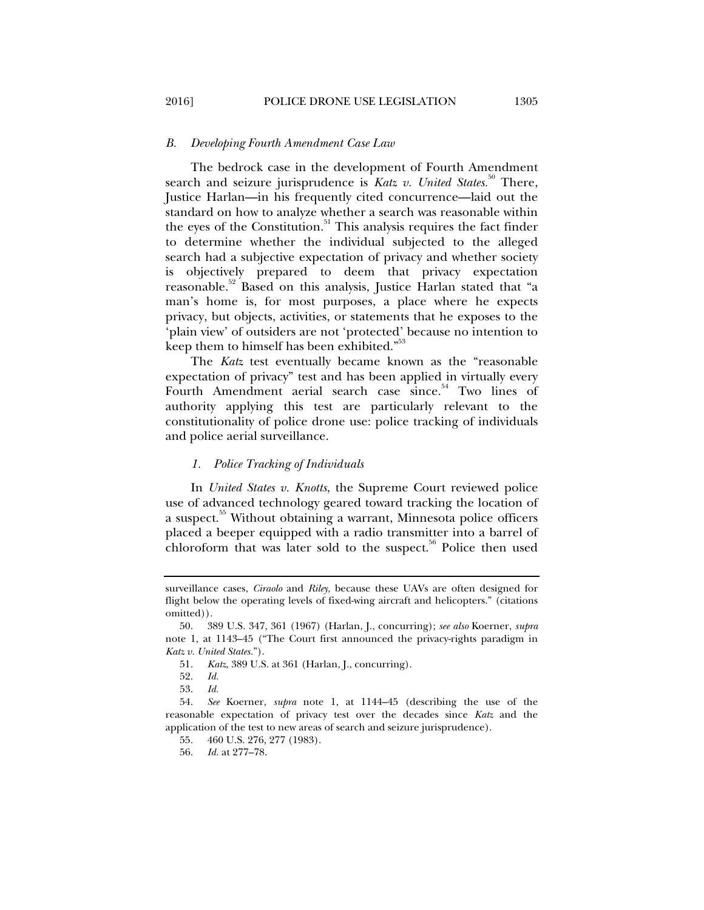#### *B. Developing Fourth Amendment Case Law*

The bedrock case in the development of Fourth Amendment search and seizure jurisprudence is *Katz v. United States.*<sup>50</sup> There, Justice Harlan—in his frequently cited concurrence—laid out the standard on how to analyze whether a search was reasonable within the eyes of the Constitution.<sup>51</sup> This analysis requires the fact finder to determine whether the individual subjected to the alleged search had a subjective expectation of privacy and whether society is objectively prepared to deem that privacy expectation reasonable.<sup>52</sup> Based on this analysis, Justice Harlan stated that "a man's home is, for most purposes, a place where he expects privacy, but objects, activities, or statements that he exposes to the 'plain view' of outsiders are not 'protected' because no intention to keep them to himself has been exhibited."<sup>53</sup>

The *Katz* test eventually became known as the "reasonable expectation of privacy" test and has been applied in virtually every Fourth Amendment aerial search case since.<sup>54</sup> Two lines of authority applying this test are particularly relevant to the constitutionality of police drone use: police tracking of individuals and police aerial surveillance.

#### *1. Police Tracking of Individuals*

In *United States v. Knotts*, the Supreme Court reviewed police use of advanced technology geared toward tracking the location of a suspect.<sup>55</sup> Without obtaining a warrant, Minnesota police officers placed a beeper equipped with a radio transmitter into a barrel of chloroform that was later sold to the suspect.<sup>56</sup> Police then used

surveillance cases, *Ciraolo* and *Riley*, because these UAVs are often designed for flight below the operating levels of fixed-wing aircraft and helicopters." (citations omitted)).

 <sup>50. 389</sup> U.S. 347, 361 (1967) (Harlan, J., concurring); *see also* Koerner, *supra* note 1, at 1143–45 ("The Court first announced the privacy-rights paradigm in *Katz v. United States.*").

 <sup>51.</sup> *Katz*, 389 U.S. at 361 (Harlan, J., concurring).

 <sup>52.</sup> *Id.*

 <sup>53.</sup> *Id.*

 <sup>54.</sup> *See* Koerner, *supra* note 1, at 1144–45 (describing the use of the reasonable expectation of privacy test over the decades since *Katz* and the application of the test to new areas of search and seizure jurisprudence).

 <sup>55. 460</sup> U.S. 276, 277 (1983).

 <sup>56.</sup> *Id.* at 277–78.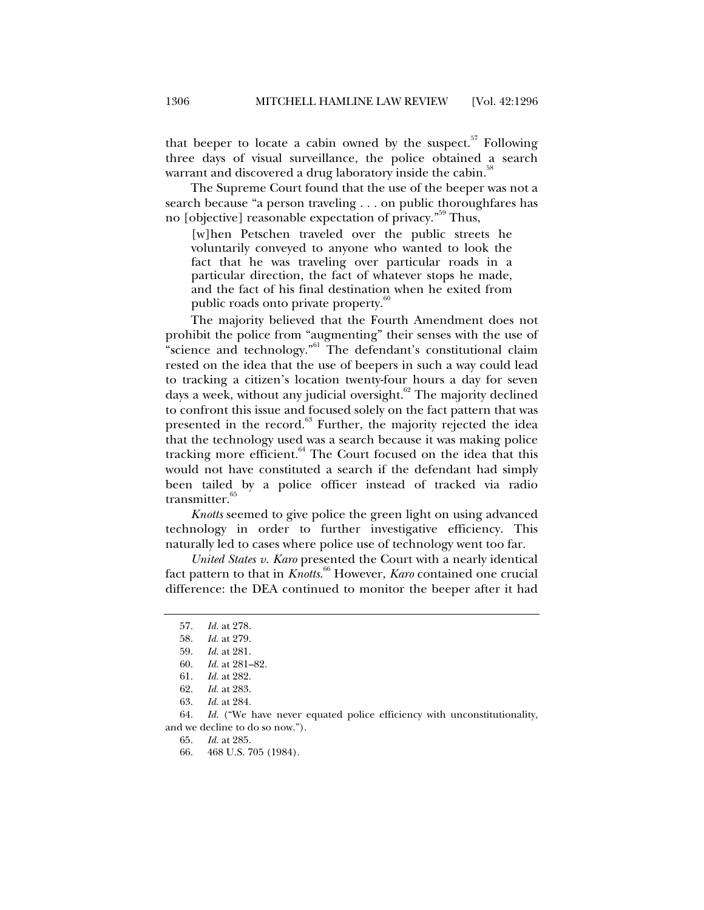that beeper to locate a cabin owned by the suspect. $57$  Following three days of visual surveillance, the police obtained a search warrant and discovered a drug laboratory inside the cabin.<sup>38</sup>

The Supreme Court found that the use of the beeper was not a search because "a person traveling . . . on public thoroughfares has no [objective] reasonable expectation of privacy."59 Thus,

[w]hen Petschen traveled over the public streets he voluntarily conveyed to anyone who wanted to look the fact that he was traveling over particular roads in a particular direction, the fact of whatever stops he made, and the fact of his final destination when he exited from public roads onto private property.<sup><sup>6</sup></sup>

The majority believed that the Fourth Amendment does not prohibit the police from "augmenting" their senses with the use of "science and technology."<sup>61</sup> The defendant's constitutional claim rested on the idea that the use of beepers in such a way could lead to tracking a citizen's location twenty-four hours a day for seven days a week, without any judicial oversight.<sup>62</sup> The majority declined to confront this issue and focused solely on the fact pattern that was presented in the record.<sup>63</sup> Further, the majority rejected the idea that the technology used was a search because it was making police tracking more efficient. $64$  The Court focused on the idea that this would not have constituted a search if the defendant had simply been tailed by a police officer instead of tracked via radio transmitter.<sup>65</sup>

*Knotts* seemed to give police the green light on using advanced technology in order to further investigative efficiency. This naturally led to cases where police use of technology went too far.

*United States v. Karo* presented the Court with a nearly identical fact pattern to that in *Knotts*. 66 However, *Karo* contained one crucial difference: the DEA continued to monitor the beeper after it had

 <sup>57.</sup> *Id.* at 278.

 <sup>58.</sup> *Id.* at 279.

 <sup>59.</sup> *Id.* at 281.

 <sup>60.</sup> *Id.* at 281–82.

 <sup>61.</sup> *Id.* at 282.

 <sup>62.</sup> *Id.* at 283.

 <sup>63.</sup> *Id.* at 284.

 <sup>64.</sup> *Id.* ("We have never equated police efficiency with unconstitutionality, and we decline to do so now.").

 <sup>65.</sup> *Id.* at 285.

 <sup>66. 468</sup> U.S. 705 (1984).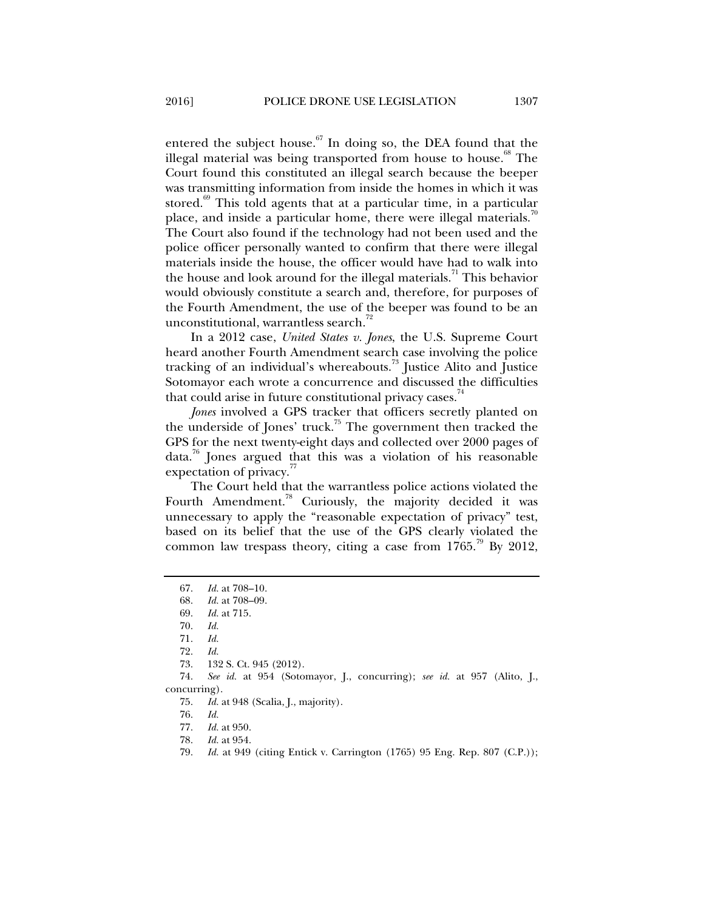entered the subject house. $67$  In doing so, the DEA found that the illegal material was being transported from house to house.<sup>68</sup> The Court found this constituted an illegal search because the beeper was transmitting information from inside the homes in which it was stored.<sup>69</sup> This told agents that at a particular time, in a particular place, and inside a particular home, there were illegal materials.<sup>70</sup> The Court also found if the technology had not been used and the police officer personally wanted to confirm that there were illegal materials inside the house, the officer would have had to walk into the house and look around for the illegal materials.<sup>71</sup> This behavior would obviously constitute a search and, therefore, for purposes of the Fourth Amendment, the use of the beeper was found to be an unconstitutional, warrantless search.<sup>72</sup>

In a 2012 case, *United States v. Jones*, the U.S. Supreme Court heard another Fourth Amendment search case involving the police tracking of an individual's whereabouts.<sup>73</sup> Justice Alito and Justice Sotomayor each wrote a concurrence and discussed the difficulties that could arise in future constitutional privacy cases. $44$ 

*Jones* involved a GPS tracker that officers secretly planted on the underside of Jones' truck.<sup>75</sup> The government then tracked the GPS for the next twenty-eight days and collected over 2000 pages of data.76 Jones argued that this was a violation of his reasonable expectation of privacy.<sup>77</sup>

The Court held that the warrantless police actions violated the Fourth Amendment.<sup>78</sup> Curiously, the majority decided it was unnecessary to apply the "reasonable expectation of privacy" test, based on its belief that the use of the GPS clearly violated the common law trespass theory, citing a case from  $1765.^{9}$  By 2012,

 <sup>67.</sup> *Id.* at 708–10.

 <sup>68.</sup> *Id.* at 708–09.

 <sup>69.</sup> *Id.* at 715.

 <sup>70.</sup> *Id.*

 <sup>71.</sup> *Id.*

 <sup>72.</sup> *Id.*

 <sup>73. 132</sup> S. Ct. 945 (2012).

 <sup>74.</sup> *See id.* at 954 (Sotomayor, J., concurring); *see id.* at 957 (Alito, J., concurring).

 <sup>75.</sup> *Id.* at 948 (Scalia, J., majority).

 <sup>76.</sup> *Id.*

 <sup>77.</sup> *Id.* at 950.

 <sup>78.</sup> *Id.* at 954.

 <sup>79.</sup> *Id.* at 949 (citing Entick v. Carrington (1765) 95 Eng. Rep. 807 (C.P.));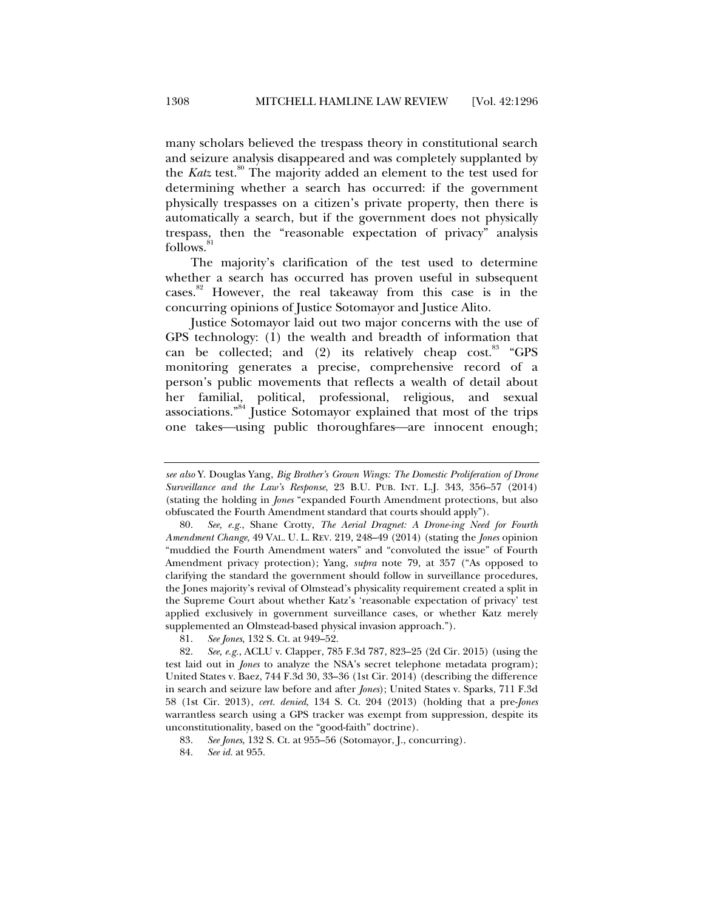many scholars believed the trespass theory in constitutional search and seizure analysis disappeared and was completely supplanted by the *Katz* test.<sup>80</sup> The majority added an element to the test used for determining whether a search has occurred: if the government physically trespasses on a citizen's private property, then there is automatically a search, but if the government does not physically trespass, then the "reasonable expectation of privacy" analysis follows.<sup>8</sup>

The majority's clarification of the test used to determine whether a search has occurred has proven useful in subsequent cases.<sup>82</sup> However, the real takeaway from this case is in the concurring opinions of Justice Sotomayor and Justice Alito.

Justice Sotomayor laid out two major concerns with the use of GPS technology: (1) the wealth and breadth of information that can be collected; and  $(2)$  its relatively cheap cost.<sup>83</sup> "GPS monitoring generates a precise, comprehensive record of a person's public movements that reflects a wealth of detail about her familial, political, professional, religious, and sexual associations."84 Justice Sotomayor explained that most of the trips one takes—using public thoroughfares—are innocent enough;

*see also* Y. Douglas Yang, *Big Brother's Grown Wings: The Domestic Proliferation of Drone Surveillance and the Law's Response*, 23 B.U. PUB. INT. L.J. 343, 356–57 (2014) (stating the holding in *Jones* "expanded Fourth Amendment protections, but also obfuscated the Fourth Amendment standard that courts should apply").

 <sup>80.</sup> *See, e.g.*, Shane Crotty, *The Aerial Dragnet: A Drone-ing Need for Fourth Amendment Change*, 49 VAL. U. L. REV. 219, 248–49 (2014) (stating the *Jones* opinion "muddied the Fourth Amendment waters" and "convoluted the issue" of Fourth Amendment privacy protection); Yang, *supra* note 79, at 357 ("As opposed to clarifying the standard the government should follow in surveillance procedures, the Jones majority's revival of Olmstead's physicality requirement created a split in the Supreme Court about whether Katz's 'reasonable expectation of privacy' test applied exclusively in government surveillance cases, or whether Katz merely supplemented an Olmstead-based physical invasion approach.").

 <sup>81.</sup> *See Jones*, 132 S. Ct. at 949–52.

 <sup>82.</sup> *See, e.g.*, ACLU v. Clapper, 785 F.3d 787, 823–25 (2d Cir. 2015) (using the test laid out in *Jones* to analyze the NSA's secret telephone metadata program); United States v. Baez, 744 F.3d 30, 33–36 (1st Cir. 2014) (describing the difference in search and seizure law before and after *Jones*); United States v. Sparks, 711 F.3d 58 (1st Cir. 2013), *cert. denied*, 134 S. Ct. 204 (2013) (holding that a pre-*Jones* warrantless search using a GPS tracker was exempt from suppression, despite its unconstitutionality, based on the "good-faith" doctrine).

 <sup>83.</sup> *See Jones*, 132 S. Ct. at 955–56 (Sotomayor, J., concurring).

 <sup>84.</sup> *See id.* at 955.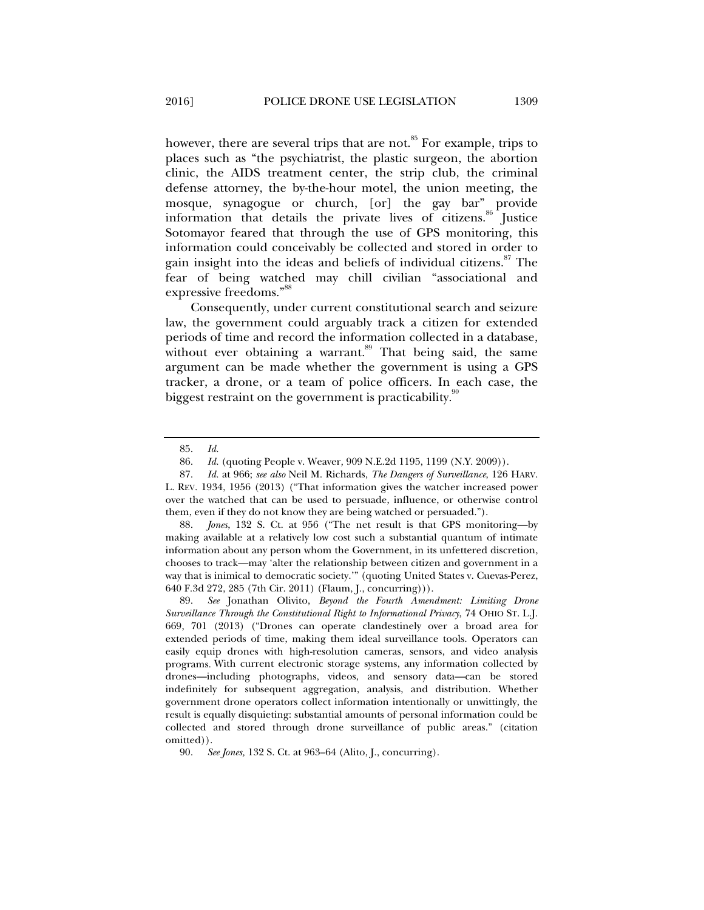however, there are several trips that are not.<sup>85</sup> For example, trips to places such as "the psychiatrist, the plastic surgeon, the abortion clinic, the AIDS treatment center, the strip club, the criminal defense attorney, the by-the-hour motel, the union meeting, the mosque, synagogue or church, [or] the gay bar" provide information that details the private lives of citizens.<sup>86</sup> Justice Sotomayor feared that through the use of GPS monitoring, this information could conceivably be collected and stored in order to gain insight into the ideas and beliefs of individual citizens.<sup>87</sup> The fear of being watched may chill civilian "associational and expressive freedoms."<sup>88</sup>

Consequently, under current constitutional search and seizure law, the government could arguably track a citizen for extended periods of time and record the information collected in a database, without ever obtaining a warrant.<sup>89</sup> That being said, the same argument can be made whether the government is using a GPS tracker, a drone, or a team of police officers. In each case, the biggest restraint on the government is practicability.<sup>90</sup>

 88. *Jones*, 132 S. Ct. at 956 ("The net result is that GPS monitoring—by making available at a relatively low cost such a substantial quantum of intimate information about any person whom the Government, in its unfettered discretion, chooses to track—may 'alter the relationship between citizen and government in a way that is inimical to democratic society.'" (quoting United States v. Cuevas-Perez, 640 F.3d 272, 285 (7th Cir. 2011) (Flaum, J., concurring))).

 <sup>85.</sup> *Id.*

 <sup>86.</sup> *Id.* (quoting People v. Weaver*,* 909 N.E.2d 1195, 1199 (N.Y. 2009)).

 <sup>87.</sup> *Id.* at 966; *see also* Neil M. Richards, *The Dangers of Surveillance*, 126 HARV. L. REV. 1934, 1956 (2013) ("That information gives the watcher increased power over the watched that can be used to persuade, influence, or otherwise control them, even if they do not know they are being watched or persuaded.").

 <sup>89.</sup> *See* Jonathan Olivito, *Beyond the Fourth Amendment: Limiting Drone Surveillance Through the Constitutional Right to Informational Privacy*, 74 OHIO ST. L.J. 669, 701 (2013) ("Drones can operate clandestinely over a broad area for extended periods of time, making them ideal surveillance tools. Operators can easily equip drones with high-resolution cameras, sensors, and video analysis programs. With current electronic storage systems, any information collected by drones—including photographs, videos, and sensory data—can be stored indefinitely for subsequent aggregation, analysis, and distribution. Whether government drone operators collect information intentionally or unwittingly, the result is equally disquieting: substantial amounts of personal information could be collected and stored through drone surveillance of public areas." (citation omitted)).

 <sup>90.</sup> *See Jones,* 132 S. Ct. at 963–64 (Alito, J., concurring).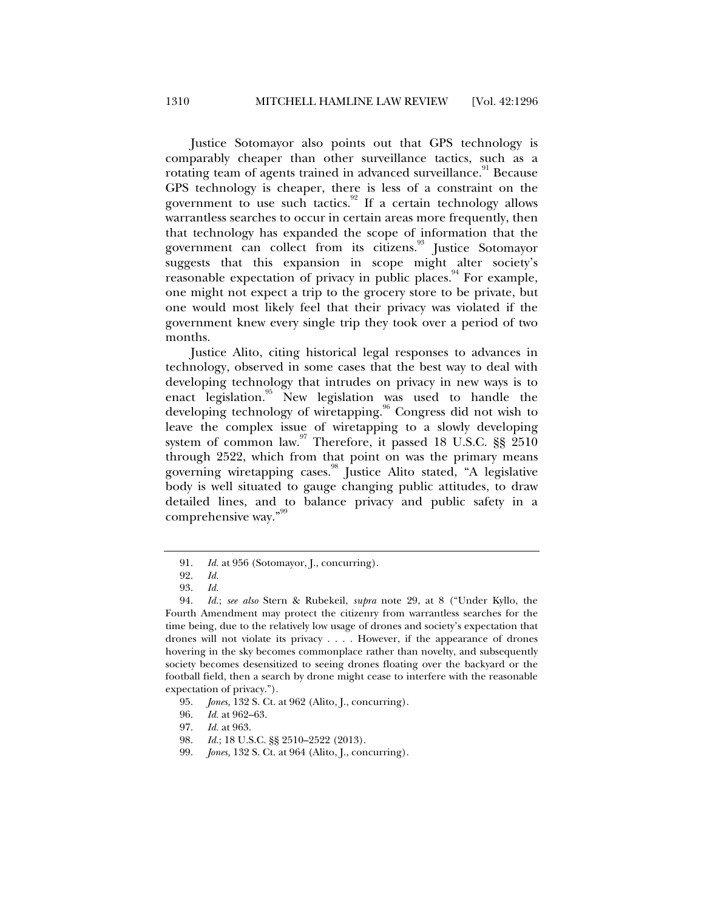Justice Sotomayor also points out that GPS technology is comparably cheaper than other surveillance tactics, such as a rotating team of agents trained in advanced surveillance.<sup>91</sup> Because GPS technology is cheaper, there is less of a constraint on the government to use such tactics. $92$  If a certain technology allows warrantless searches to occur in certain areas more frequently, then that technology has expanded the scope of information that the government can collect from its citizens.<sup>93</sup> Justice Sotomayor suggests that this expansion in scope might alter society's reasonable expectation of privacy in public places. For example, one might not expect a trip to the grocery store to be private, but one would most likely feel that their privacy was violated if the government knew every single trip they took over a period of two months.

Justice Alito, citing historical legal responses to advances in technology, observed in some cases that the best way to deal with developing technology that intrudes on privacy in new ways is to enact legislation.<sup>95</sup> New legislation was used to handle the developing technology of wiretapping.<sup>96</sup> Congress did not wish to leave the complex issue of wiretapping to a slowly developing system of common law.<sup>97</sup> Therefore, it passed 18 U.S.C. §§ 2510 through 2522, which from that point on was the primary means governing wiretapping cases.<sup>98</sup> Justice Alito stated, "A legislative body is well situated to gauge changing public attitudes, to draw detailed lines, and to balance privacy and public safety in a comprehensive way."<sup>99</sup>

 <sup>91.</sup> *Id.* at 956 (Sotomayor, J., concurring).

 <sup>92.</sup> *Id.*

 <sup>93.</sup> *Id.*

 <sup>94.</sup> *Id.*; *see also* Stern & Rubekeil, *supra* note 29, at 8 ("Under Kyllo, the Fourth Amendment may protect the citizenry from warrantless searches for the time being, due to the relatively low usage of drones and society's expectation that drones will not violate its privacy . . . . However, if the appearance of drones hovering in the sky becomes commonplace rather than novelty, and subsequently society becomes desensitized to seeing drones floating over the backyard or the football field, then a search by drone might cease to interfere with the reasonable expectation of privacy.").

 <sup>95.</sup> *Jones,* 132 S. Ct. at 962 (Alito, J., concurring).

 <sup>96.</sup> *Id.* at 962–63.

 <sup>97.</sup> *Id.* at 963.

 <sup>98.</sup> *Id.*; 18 U.S.C. §§ 2510–2522 (2013).

 <sup>99.</sup> *Jones,* 132 S. Ct. at 964 (Alito, J., concurring).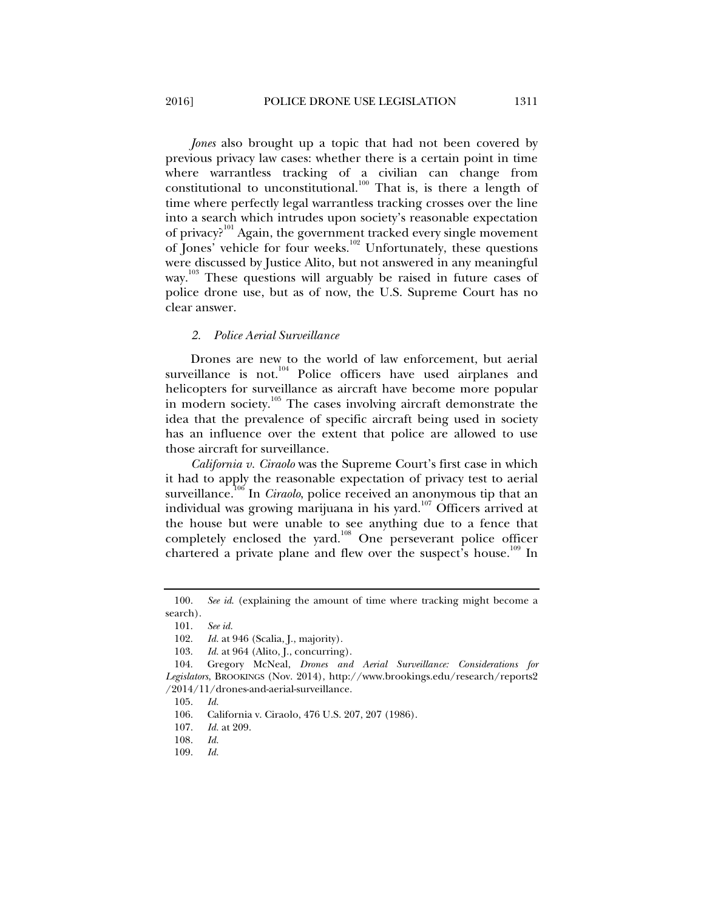*Jones* also brought up a topic that had not been covered by previous privacy law cases: whether there is a certain point in time where warrantless tracking of a civilian can change from constitutional to unconstitutional.<sup>100</sup> That is, is there a length of time where perfectly legal warrantless tracking crosses over the line into a search which intrudes upon society's reasonable expectation of privacy?<sup>101</sup> Again, the government tracked every single movement of Jones' vehicle for four weeks.<sup>102</sup> Unfortunately, these questions were discussed by Justice Alito, but not answered in any meaningful way.<sup>103</sup> These questions will arguably be raised in future cases of police drone use, but as of now, the U.S. Supreme Court has no clear answer.

#### *2. Police Aerial Surveillance*

Drones are new to the world of law enforcement, but aerial surveillance is not.<sup>104</sup> Police officers have used airplanes and helicopters for surveillance as aircraft have become more popular in modern society.<sup>105</sup> The cases involving aircraft demonstrate the idea that the prevalence of specific aircraft being used in society has an influence over the extent that police are allowed to use those aircraft for surveillance.

*California v. Ciraolo* was the Supreme Court's first case in which it had to apply the reasonable expectation of privacy test to aerial surveillance.<sup>106</sup> In *Ciraolo*, police received an anonymous tip that an individual was growing marijuana in his yard. $107$  Officers arrived at the house but were unable to see anything due to a fence that completely enclosed the yard.108 One perseverant police officer chartered a private plane and flew over the suspect's house.<sup>109</sup> In

 <sup>100.</sup> *See id*. (explaining the amount of time where tracking might become a search).

 <sup>101.</sup> *See id.*

 <sup>102.</sup> *Id.* at 946 (Scalia, J., majority).

 <sup>103.</sup> *Id.* at 964 (Alito, J., concurring).

 <sup>104.</sup> Gregory McNeal, *Drones and Aerial Surveillance: Considerations for Legislators*, BROOKINGS (Nov. 2014), http://www.brookings.edu/research/reports2 /2014/11/drones-and-aerial-surveillance.

 <sup>105.</sup> *Id.*

 <sup>106.</sup> California v. Ciraolo, 476 U.S. 207, 207 (1986).

 <sup>107.</sup> *Id.* at 209.

 <sup>108.</sup> *Id.*

 <sup>109.</sup> *Id.*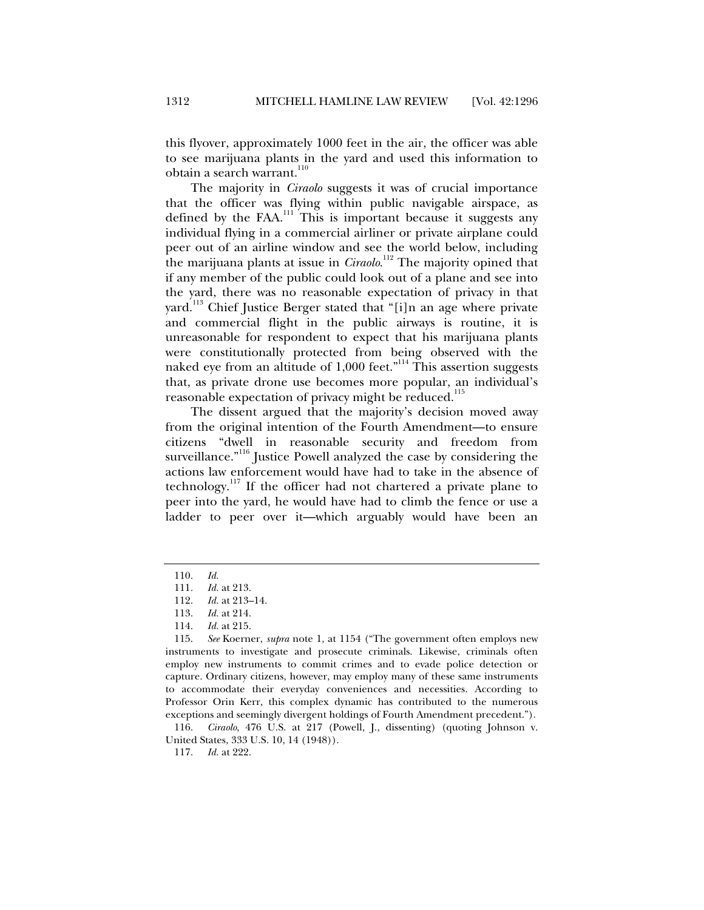this flyover, approximately 1000 feet in the air, the officer was able to see marijuana plants in the yard and used this information to obtain a search warrant.<sup>110</sup>

The majority in *Ciraolo* suggests it was of crucial importance that the officer was flying within public navigable airspace, as defined by the FAA.<sup>111</sup> This is important because it suggests any individual flying in a commercial airliner or private airplane could peer out of an airline window and see the world below, including the marijuana plants at issue in *Ciraolo*. 112 The majority opined that if any member of the public could look out of a plane and see into the yard, there was no reasonable expectation of privacy in that yard.<sup>113</sup> Chief Justice Berger stated that "[i]n an age where private and commercial flight in the public airways is routine, it is unreasonable for respondent to expect that his marijuana plants were constitutionally protected from being observed with the naked eye from an altitude of 1,000 feet."<sup>114</sup> This assertion suggests that, as private drone use becomes more popular, an individual's reasonable expectation of privacy might be reduced.<sup>115</sup>

The dissent argued that the majority's decision moved away from the original intention of the Fourth Amendment—to ensure citizens "dwell in reasonable security and freedom from surveillance."<sup>116</sup> Justice Powell analyzed the case by considering the actions law enforcement would have had to take in the absence of technology.<sup>117</sup> If the officer had not chartered a private plane to peer into the yard, he would have had to climb the fence or use a ladder to peer over it—which arguably would have been an

 <sup>110.</sup> *Id.*

 <sup>111.</sup> *Id.* at 213.

 <sup>112.</sup> *Id.* at 213–14.

 <sup>113.</sup> *Id.* at 214.

 <sup>114.</sup> *Id.* at 215.

 <sup>115.</sup> *See* Koerner, *supra* note 1, at 1154 ("The government often employs new instruments to investigate and prosecute criminals. Likewise, criminals often employ new instruments to commit crimes and to evade police detection or capture. Ordinary citizens, however, may employ many of these same instruments to accommodate their everyday conveniences and necessities. According to Professor Orin Kerr, this complex dynamic has contributed to the numerous exceptions and seemingly divergent holdings of Fourth Amendment precedent.").

 <sup>116.</sup> *Ciraolo*, 476 U.S. at 217 (Powell, J., dissenting) (quoting Johnson v. United States*,* 333 U.S. 10, 14 (1948)).

 <sup>117.</sup> *Id.* at 222.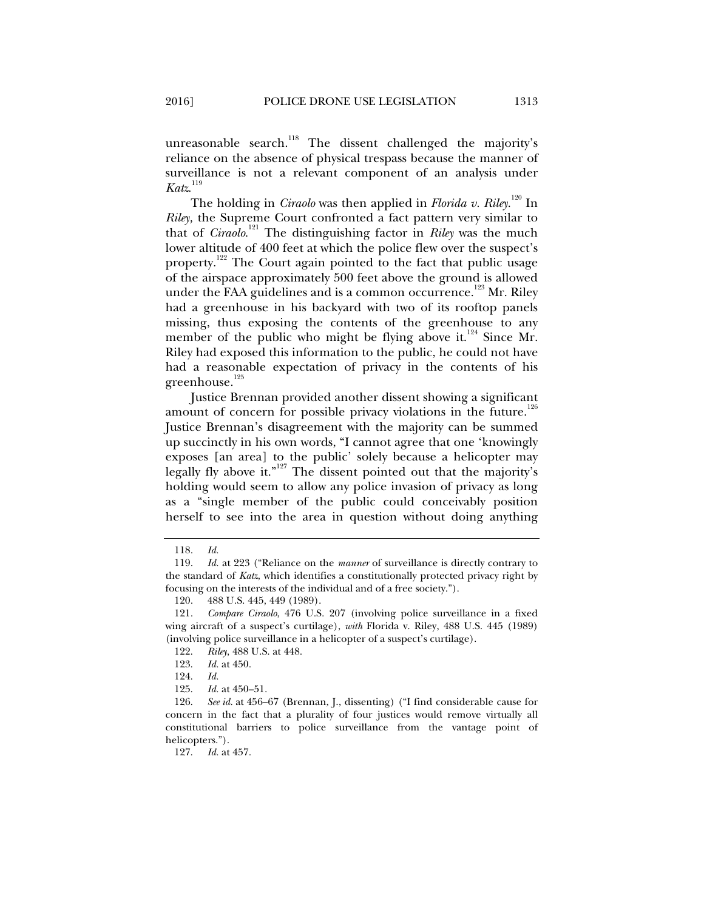unreasonable search.<sup>118</sup> The dissent challenged the majority's reliance on the absence of physical trespass because the manner of surveillance is not a relevant component of an analysis under *Katz*. 119

The holding in *Ciraolo* was then applied in *Florida v. Riley*.<sup>120</sup> In *Riley,* the Supreme Court confronted a fact pattern very similar to that of *Ciraolo*. 121 The distinguishing factor in *Riley* was the much lower altitude of 400 feet at which the police flew over the suspect's property.<sup>122</sup> The Court again pointed to the fact that public usage of the airspace approximately 500 feet above the ground is allowed under the FAA guidelines and is a common occurrence.<sup>123</sup> Mr. Riley had a greenhouse in his backyard with two of its rooftop panels missing, thus exposing the contents of the greenhouse to any member of the public who might be flying above it. $124$  Since Mr. Riley had exposed this information to the public, he could not have had a reasonable expectation of privacy in the contents of his greenhouse.<sup>125</sup>

Justice Brennan provided another dissent showing a significant amount of concern for possible privacy violations in the future.<sup>126</sup> Justice Brennan's disagreement with the majority can be summed up succinctly in his own words, "I cannot agree that one 'knowingly exposes [an area] to the public' solely because a helicopter may legally fly above it."<sup>127</sup> The dissent pointed out that the majority's holding would seem to allow any police invasion of privacy as long as a "single member of the public could conceivably position herself to see into the area in question without doing anything

 <sup>118.</sup> *Id.*

 <sup>119.</sup> *Id.* at 223 ("Reliance on the *manner* of surveillance is directly contrary to the standard of *Katz*, which identifies a constitutionally protected privacy right by focusing on the interests of the individual and of a free society.").

 <sup>120. 488</sup> U.S. 445, 449 (1989).

 <sup>121.</sup> *Compare Ciraolo*, 476 U.S. 207 (involving police surveillance in a fixed wing aircraft of a suspect's curtilage), *with* Florida v. Riley, 488 U.S. 445 (1989) (involving police surveillance in a helicopter of a suspect's curtilage).

 <sup>122.</sup> *Riley*, 488 U.S. at 448.

 <sup>123.</sup> *Id.* at 450.

 <sup>124.</sup> *Id.* 

 <sup>125.</sup> *Id.* at 450–51.

 <sup>126.</sup> *See id.* at 456–67 (Brennan, J., dissenting) ("I find considerable cause for concern in the fact that a plurality of four justices would remove virtually all constitutional barriers to police surveillance from the vantage point of helicopters.").

 <sup>127.</sup> *Id.* at 457.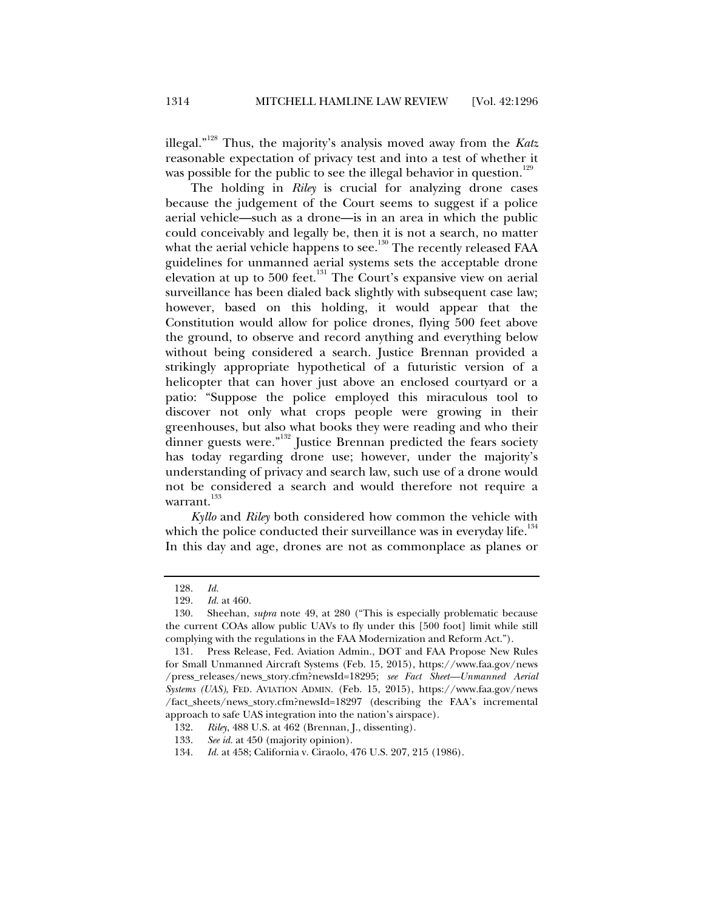illegal."128 Thus, the majority's analysis moved away from the *Katz* reasonable expectation of privacy test and into a test of whether it was possible for the public to see the illegal behavior in question.<sup>129</sup>

The holding in *Riley* is crucial for analyzing drone cases because the judgement of the Court seems to suggest if a police aerial vehicle—such as a drone—is in an area in which the public could conceivably and legally be, then it is not a search, no matter what the aerial vehicle happens to see.<sup>130</sup> The recently released FAA guidelines for unmanned aerial systems sets the acceptable drone elevation at up to 500 feet.<sup>131</sup> The Court's expansive view on aerial surveillance has been dialed back slightly with subsequent case law; however, based on this holding, it would appear that the Constitution would allow for police drones, flying 500 feet above the ground, to observe and record anything and everything below without being considered a search. Justice Brennan provided a strikingly appropriate hypothetical of a futuristic version of a helicopter that can hover just above an enclosed courtyard or a patio: "Suppose the police employed this miraculous tool to discover not only what crops people were growing in their greenhouses, but also what books they were reading and who their dinner guests were."<sup>132</sup> Justice Brennan predicted the fears society has today regarding drone use; however, under the majority's understanding of privacy and search law, such use of a drone would not be considered a search and would therefore not require a warrant.<sup>133</sup>

*Kyllo* and *Riley* both considered how common the vehicle with which the police conducted their surveillance was in everyday life. $134$ In this day and age, drones are not as commonplace as planes or

 <sup>128.</sup> *Id.* 

 <sup>129.</sup> *Id.* at 460.

 <sup>130.</sup> Sheehan, *supra* note 49, at 280 ("This is especially problematic because the current COAs allow public UAVs to fly under this [500 foot] limit while still complying with the regulations in the FAA Modernization and Reform Act.").

 <sup>131.</sup> Press Release, Fed. Aviation Admin., DOT and FAA Propose New Rules for Small Unmanned Aircraft Systems (Feb. 15, 2015), https://www.faa.gov/news /press\_releases/news\_story.cfm?newsId=18295; *see Fact Sheet—Unmanned Aerial Systems (UAS)*, FED. AVIATION ADMIN. (Feb. 15, 2015), https://www.faa.gov/news /fact\_sheets/news\_story.cfm?newsId=18297 (describing the FAA's incremental approach to safe UAS integration into the nation's airspace).

 <sup>132.</sup> *Riley*, 488 U.S. at 462 (Brennan, J., dissenting).

 <sup>133.</sup> *See id.* at 450 (majority opinion).

 <sup>134.</sup> *Id.* at 458; California v. Ciraolo, 476 U.S. 207, 215 (1986).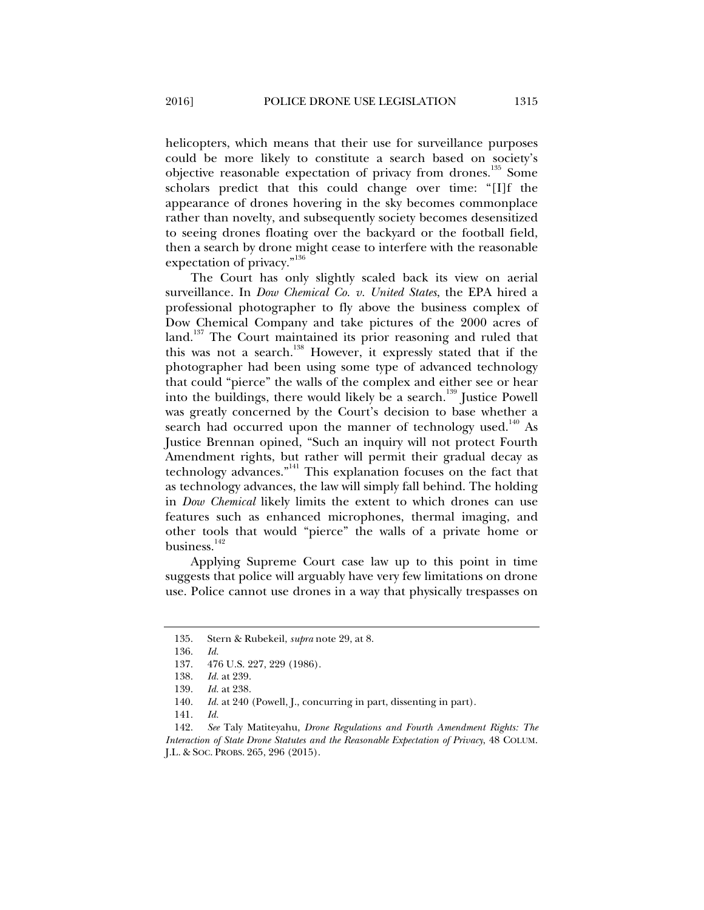helicopters, which means that their use for surveillance purposes could be more likely to constitute a search based on society's objective reasonable expectation of privacy from drones.<sup>135</sup> Some scholars predict that this could change over time: "[I]f the appearance of drones hovering in the sky becomes commonplace rather than novelty, and subsequently society becomes desensitized to seeing drones floating over the backyard or the football field, then a search by drone might cease to interfere with the reasonable expectation of privacy."<sup>136</sup>

The Court has only slightly scaled back its view on aerial surveillance. In *Dow Chemical Co. v. United States*, the EPA hired a professional photographer to fly above the business complex of Dow Chemical Company and take pictures of the 2000 acres of land.<sup>137</sup> The Court maintained its prior reasoning and ruled that this was not a search.138 However, it expressly stated that if the photographer had been using some type of advanced technology that could "pierce" the walls of the complex and either see or hear into the buildings, there would likely be a search.<sup>139</sup> Justice Powell was greatly concerned by the Court's decision to base whether a search had occurred upon the manner of technology used.<sup>140</sup> As Justice Brennan opined, "Such an inquiry will not protect Fourth Amendment rights, but rather will permit their gradual decay as technology advances."<sup>141</sup> This explanation focuses on the fact that as technology advances, the law will simply fall behind. The holding in *Dow Chemical* likely limits the extent to which drones can use features such as enhanced microphones, thermal imaging, and other tools that would "pierce" the walls of a private home or business.<sup>142</sup>

Applying Supreme Court case law up to this point in time suggests that police will arguably have very few limitations on drone use. Police cannot use drones in a way that physically trespasses on

 <sup>135.</sup> Stern & Rubekeil, *supra* note 29, at 8.

 <sup>136.</sup> *Id.*

 <sup>137. 476</sup> U.S. 227, 229 (1986).

 <sup>138.</sup> *Id.* at 239.

 <sup>139.</sup> *Id.* at 238.

<sup>140.</sup> *Id.* at 240 (Powell, J., concurring in part, dissenting in part).

 <sup>141.</sup> *Id.*

 <sup>142.</sup> *See* Taly Matiteyahu, *Drone Regulations and Fourth Amendment Rights: The Interaction of State Drone Statutes and the Reasonable Expectation of Privacy*, 48 COLUM. J.L. & SOC. PROBS. 265, 296 (2015).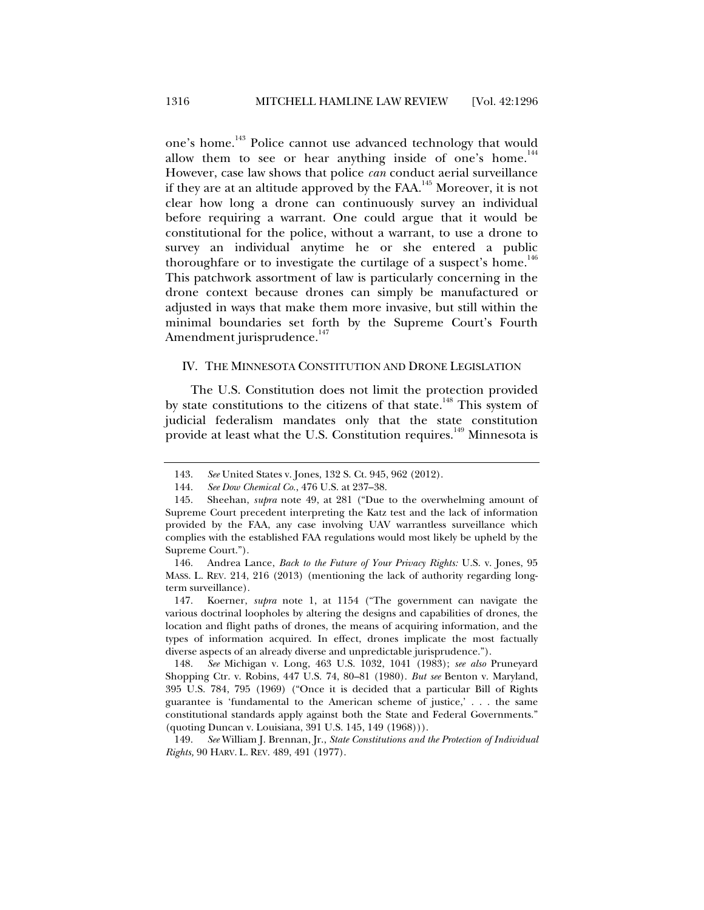one's home.<sup>143</sup> Police cannot use advanced technology that would allow them to see or hear anything inside of one's home.<sup>144</sup> However, case law shows that police *can* conduct aerial surveillance if they are at an altitude approved by the FAA.145 Moreover, it is not clear how long a drone can continuously survey an individual before requiring a warrant. One could argue that it would be constitutional for the police, without a warrant, to use a drone to survey an individual anytime he or she entered a public thoroughfare or to investigate the curtilage of a suspect's home.<sup>146</sup> This patchwork assortment of law is particularly concerning in the drone context because drones can simply be manufactured or adjusted in ways that make them more invasive, but still within the minimal boundaries set forth by the Supreme Court's Fourth Amendment jurisprudence.<sup>147</sup>

#### IV. THE MINNESOTA CONSTITUTION AND DRONE LEGISLATION

The U.S. Constitution does not limit the protection provided by state constitutions to the citizens of that state.<sup>148</sup> This system of judicial federalism mandates only that the state constitution provide at least what the U.S. Constitution requires.<sup>149</sup> Minnesota is

 <sup>143.</sup> *See* United States v. Jones, 132 S. Ct. 945, 962 (2012).

 <sup>144.</sup> *See Dow Chemical Co.*, 476 U.S. at 237–38.

 <sup>145.</sup> Sheehan, *supra* note 49, at 281 ("Due to the overwhelming amount of Supreme Court precedent interpreting the Katz test and the lack of information provided by the FAA, any case involving UAV warrantless surveillance which complies with the established FAA regulations would most likely be upheld by the Supreme Court.").

 <sup>146.</sup> Andrea Lance, *Back to the Future of Your Privacy Rights:* U.S. v. Jones, 95 MASS. L. REV. 214, 216 (2013) (mentioning the lack of authority regarding longterm surveillance).

 <sup>147.</sup> Koerner, *supra* note 1, at 1154 ("The government can navigate the various doctrinal loopholes by altering the designs and capabilities of drones, the location and flight paths of drones, the means of acquiring information, and the types of information acquired. In effect, drones implicate the most factually diverse aspects of an already diverse and unpredictable jurisprudence.").

 <sup>148.</sup> *See* Michigan v. Long, 463 U.S. 1032, 1041 (1983); *see also* Pruneyard Shopping Ctr. v. Robins, 447 U.S. 74, 80–81 (1980). *But see* Benton v. Maryland, 395 U.S. 784, 795 (1969) ("Once it is decided that a particular Bill of Rights guarantee is 'fundamental to the American scheme of justice,' . . . the same constitutional standards apply against both the State and Federal Governments." (quoting Duncan v. Louisiana, 391 U.S. 145, 149 (1968))).

 <sup>149.</sup> *See* William J. Brennan, Jr., *State Constitutions and the Protection of Individual Rights,* 90 HARV. L. REV. 489, 491 (1977).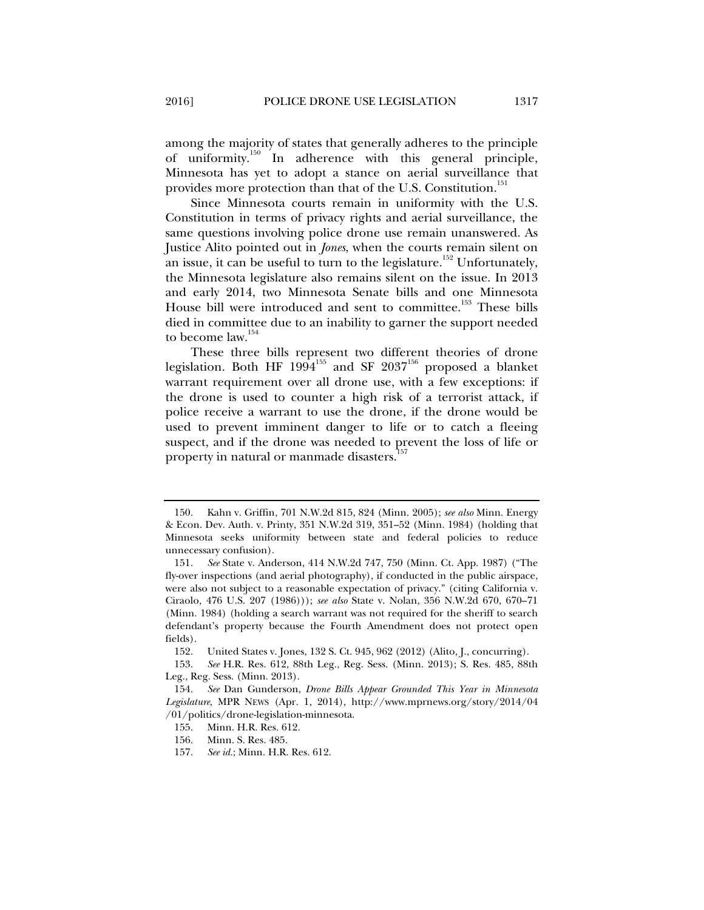among the majority of states that generally adheres to the principle of uniformity.<sup>150</sup> In adherence with this general principle, Minnesota has yet to adopt a stance on aerial surveillance that provides more protection than that of the U.S. Constitution.<sup>151</sup>

Since Minnesota courts remain in uniformity with the U.S. Constitution in terms of privacy rights and aerial surveillance, the same questions involving police drone use remain unanswered. As Justice Alito pointed out in *Jones*, when the courts remain silent on an issue, it can be useful to turn to the legislature.<sup>152</sup> Unfortunately, the Minnesota legislature also remains silent on the issue. In 2013 and early 2014, two Minnesota Senate bills and one Minnesota House bill were introduced and sent to committee.<sup>153</sup> These bills died in committee due to an inability to garner the support needed to become law.<sup>154</sup>

These three bills represent two different theories of drone legislation. Both HF  $1994^{155}$  and SF  $2037^{156}$  proposed a blanket warrant requirement over all drone use, with a few exceptions: if the drone is used to counter a high risk of a terrorist attack, if police receive a warrant to use the drone, if the drone would be used to prevent imminent danger to life or to catch a fleeing suspect, and if the drone was needed to prevent the loss of life or property in natural or manmade disasters.<sup>1</sup>

 <sup>150.</sup> Kahn v. Griffin, 701 N.W.2d 815, 824 (Minn. 2005); *see also* Minn. Energy & Econ. Dev. Auth. v. Printy, 351 N.W.2d 319, 351–52 (Minn. 1984) (holding that Minnesota seeks uniformity between state and federal policies to reduce unnecessary confusion).

 <sup>151.</sup> *See* State v. Anderson, 414 N.W.2d 747, 750 (Minn. Ct. App. 1987) ("The fly-over inspections (and aerial photography), if conducted in the public airspace, were also not subject to a reasonable expectation of privacy." (citing California v. Ciraolo*,* 476 U.S. 207 (1986))); *see also* State v. Nolan, 356 N.W.2d 670, 670–71 (Minn. 1984) (holding a search warrant was not required for the sheriff to search defendant's property because the Fourth Amendment does not protect open fields).

 <sup>152.</sup> United States v. Jones, 132 S. Ct. 945, 962 (2012) (Alito, J., concurring).

 <sup>153.</sup> *See* H.R. Res. 612, 88th Leg., Reg. Sess. (Minn. 2013); S. Res. 485, 88th Leg., Reg. Sess. (Minn. 2013).

 <sup>154.</sup> *See* Dan Gunderson, *Drone Bills Appear Grounded This Year in Minnesota Legislature*, MPR NEWS (Apr. 1, 2014), http://www.mprnews.org/story/2014/04 /01/politics/drone-legislation-minnesota.

 <sup>155.</sup> Minn. H.R. Res. 612.

 <sup>156.</sup> Minn. S. Res. 485.

 <sup>157.</sup> *See id.*; Minn. H.R. Res. 612.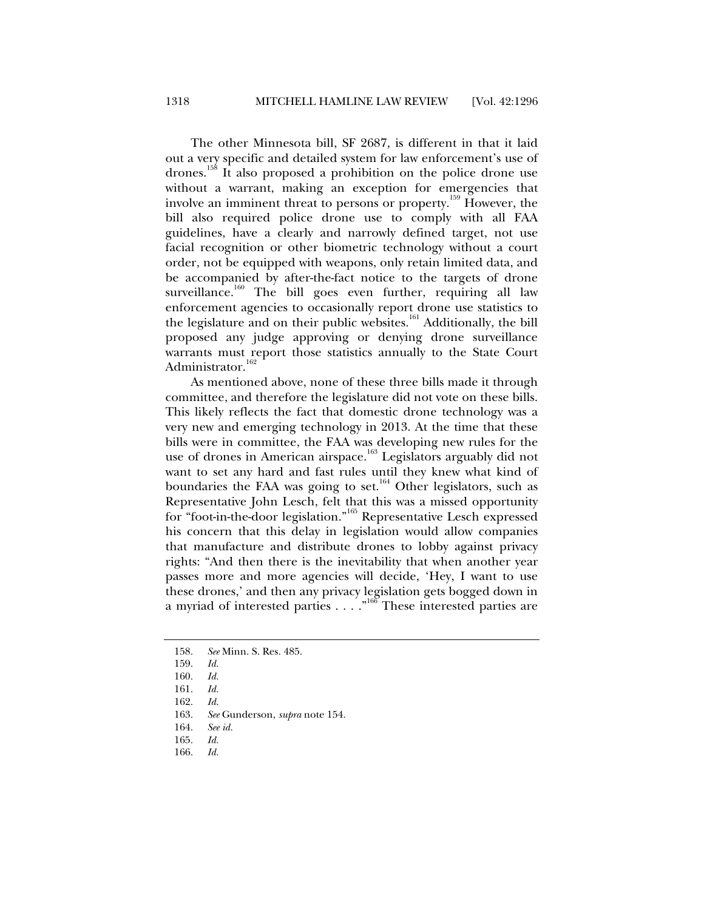The other Minnesota bill, SF 2687, is different in that it laid out a very specific and detailed system for law enforcement's use of drones.158 It also proposed a prohibition on the police drone use without a warrant, making an exception for emergencies that involve an imminent threat to persons or property.159 However, the bill also required police drone use to comply with all FAA guidelines, have a clearly and narrowly defined target, not use facial recognition or other biometric technology without a court order, not be equipped with weapons, only retain limited data, and be accompanied by after-the-fact notice to the targets of drone surveillance.<sup>160</sup> The bill goes even further, requiring all law enforcement agencies to occasionally report drone use statistics to the legislature and on their public websites.<sup>161</sup> Additionally, the bill proposed any judge approving or denying drone surveillance warrants must report those statistics annually to the State Court Administrator.<sup>162</sup>

As mentioned above, none of these three bills made it through committee, and therefore the legislature did not vote on these bills. This likely reflects the fact that domestic drone technology was a very new and emerging technology in 2013. At the time that these bills were in committee, the FAA was developing new rules for the use of drones in American airspace.<sup>163</sup> Legislators arguably did not want to set any hard and fast rules until they knew what kind of boundaries the FAA was going to set.<sup>164</sup> Other legislators, such as Representative John Lesch, felt that this was a missed opportunity for "foot-in-the-door legislation."165 Representative Lesch expressed his concern that this delay in legislation would allow companies that manufacture and distribute drones to lobby against privacy rights: "And then there is the inevitability that when another year passes more and more agencies will decide, 'Hey, I want to use these drones,' and then any privacy legislation gets bogged down in a myriad of interested parties . . . . "<sup>166</sup> These interested parties are

166. *Id.*

 <sup>158.</sup> *See* Minn. S. Res. 485.

 <sup>159.</sup> *Id.* 

 <sup>160.</sup> *Id.* 

 <sup>161.</sup> *Id.*

 <sup>162.</sup> *Id.*

 <sup>163.</sup> *See* Gunderson, *supra* note 154.

 <sup>164.</sup> *See id.*

 <sup>165.</sup> *Id.*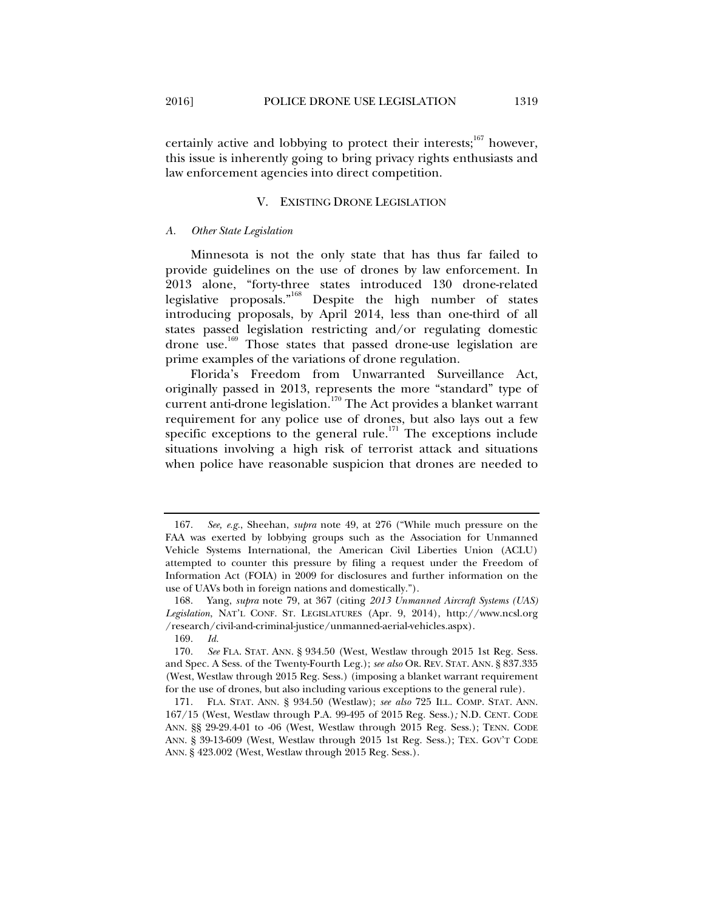certainly active and lobbying to protect their interests;<sup>167</sup> however, this issue is inherently going to bring privacy rights enthusiasts and law enforcement agencies into direct competition.

#### V. EXISTING DRONE LEGISLATION

#### *A. Other State Legislation*

Minnesota is not the only state that has thus far failed to provide guidelines on the use of drones by law enforcement. In 2013 alone, "forty-three states introduced 130 drone-related legislative proposals."168 Despite the high number of states introducing proposals, by April 2014, less than one-third of all states passed legislation restricting and/or regulating domestic drone use.<sup>169</sup> Those states that passed drone-use legislation are prime examples of the variations of drone regulation.

Florida's Freedom from Unwarranted Surveillance Act, originally passed in 2013, represents the more "standard" type of current anti-drone legislation.<sup>170</sup> The Act provides a blanket warrant requirement for any police use of drones, but also lays out a few specific exceptions to the general rule.<sup>171</sup> The exceptions include situations involving a high risk of terrorist attack and situations when police have reasonable suspicion that drones are needed to

 <sup>167.</sup> *See, e.g.*, Sheehan, *supra* note 49, at 276 ("While much pressure on the FAA was exerted by lobbying groups such as the Association for Unmanned Vehicle Systems International, the American Civil Liberties Union (ACLU) attempted to counter this pressure by filing a request under the Freedom of Information Act (FOIA) in 2009 for disclosures and further information on the use of UAVs both in foreign nations and domestically.").

 <sup>168.</sup> Yang, *supra* note 79, at 367 (citing *2013 Unmanned Aircraft Systems (UAS) Legislation*, NAT'L CONF. ST. LEGISLATURES (Apr. 9, 2014), http://www.ncsl.org /research/civil-and-criminal-justice/unmanned-aerial-vehicles.aspx).

 <sup>169.</sup> *Id.*

 <sup>170.</sup> *See* FLA. STAT. ANN. § 934.50 (West, Westlaw through 2015 1st Reg. Sess. and Spec. A Sess. of the Twenty-Fourth Leg.); *see also* OR. REV. STAT. ANN. § 837.335 (West, Westlaw through 2015 Reg. Sess.) (imposing a blanket warrant requirement for the use of drones, but also including various exceptions to the general rule).

 <sup>171.</sup> FLA. STAT. ANN. § 934.50 (Westlaw); *see also* 725 ILL. COMP. STAT. ANN. 167/15 (West, Westlaw through P.A. 99-495 of 2015 Reg. Sess.)*;* N.D. CENT. CODE ANN. §§ 29-29.4-01 to -06 (West, Westlaw through 2015 Reg. Sess.); TENN. CODE ANN. § 39-13-609 (West, Westlaw through 2015 1st Reg. Sess.); TEX. GOV'T CODE ANN. § 423.002 (West, Westlaw through 2015 Reg. Sess.).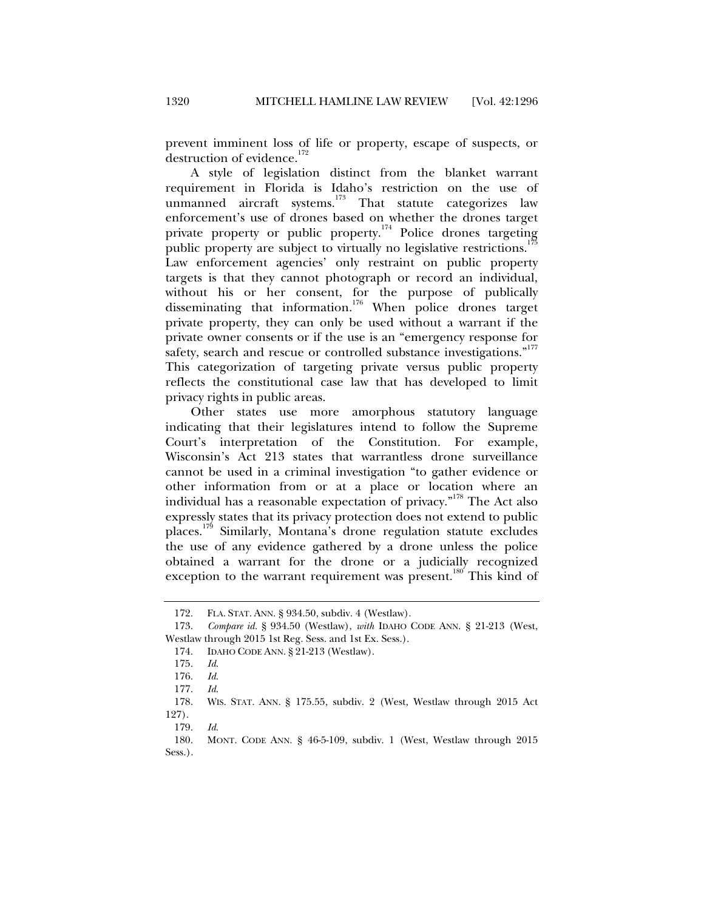prevent imminent loss of life or property, escape of suspects, or destruction of evidence.<sup>172</sup>

A style of legislation distinct from the blanket warrant requirement in Florida is Idaho's restriction on the use of unmanned aircraft systems.<sup>173</sup> That statute categorizes law enforcement's use of drones based on whether the drones target private property or public property.<sup>174</sup> Police drones targeting public property are subject to virtually no legislative restrictions.<sup>175</sup> Law enforcement agencies' only restraint on public property targets is that they cannot photograph or record an individual, without his or her consent, for the purpose of publically disseminating that information.<sup>176</sup> When police drones target private property, they can only be used without a warrant if the private owner consents or if the use is an "emergency response for safety, search and rescue or controlled substance investigations."<sup>177</sup> This categorization of targeting private versus public property reflects the constitutional case law that has developed to limit privacy rights in public areas.

Other states use more amorphous statutory language indicating that their legislatures intend to follow the Supreme Court's interpretation of the Constitution. For example, Wisconsin's Act 213 states that warrantless drone surveillance cannot be used in a criminal investigation "to gather evidence or other information from or at a place or location where an individual has a reasonable expectation of privacy."<sup>178</sup> The Act also expressly states that its privacy protection does not extend to public places.179 Similarly, Montana's drone regulation statute excludes the use of any evidence gathered by a drone unless the police obtained a warrant for the drone or a judicially recognized exception to the warrant requirement was present.<sup>180</sup> This kind of

 <sup>172.</sup> FLA. STAT. ANN. § 934.50, subdiv. 4 (Westlaw).

 <sup>173.</sup> *Compare id.* § 934.50 (Westlaw), *with* IDAHO CODE ANN. § 21-213 (West, Westlaw through 2015 1st Reg. Sess. and 1st Ex. Sess.).

 <sup>174.</sup> IDAHO CODE ANN. § 21-213 (Westlaw).

 <sup>175.</sup> *Id*.

 <sup>176.</sup> *Id*.

 <sup>177.</sup> *Id*.

WIS. STAT. ANN. § 175.55, subdiv. 2 (West, Westlaw through 2015 Act 127).

 <sup>179.</sup> *Id*.

 <sup>180.</sup> MONT. CODE ANN. § 46-5-109, subdiv. 1 (West, Westlaw through 2015 Sess.).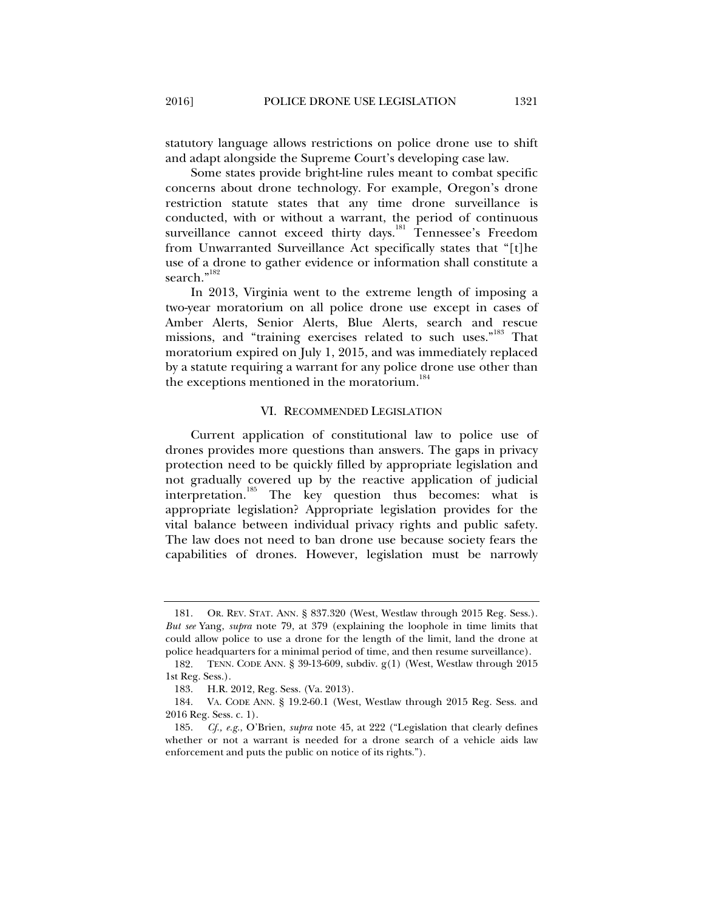statutory language allows restrictions on police drone use to shift and adapt alongside the Supreme Court's developing case law.

Some states provide bright-line rules meant to combat specific concerns about drone technology. For example, Oregon's drone restriction statute states that any time drone surveillance is conducted, with or without a warrant, the period of continuous surveillance cannot exceed thirty days.<sup>181</sup> Tennessee's Freedom from Unwarranted Surveillance Act specifically states that "[t]he use of a drone to gather evidence or information shall constitute a search."<sup>182</sup>

In 2013, Virginia went to the extreme length of imposing a two-year moratorium on all police drone use except in cases of Amber Alerts, Senior Alerts, Blue Alerts, search and rescue missions, and "training exercises related to such uses."<sup>183</sup> That moratorium expired on July 1, 2015, and was immediately replaced by a statute requiring a warrant for any police drone use other than the exceptions mentioned in the moratorium.<sup>184</sup>

#### VI. RECOMMENDED LEGISLATION

Current application of constitutional law to police use of drones provides more questions than answers. The gaps in privacy protection need to be quickly filled by appropriate legislation and not gradually covered up by the reactive application of judicial interpretation.185 The key question thus becomes: what is appropriate legislation? Appropriate legislation provides for the vital balance between individual privacy rights and public safety. The law does not need to ban drone use because society fears the capabilities of drones. However, legislation must be narrowly

 <sup>181.</sup> OR. REV. STAT. ANN. § 837.320 (West, Westlaw through 2015 Reg. Sess.). *But see* Yang, *supra* note 79, at 379 (explaining the loophole in time limits that could allow police to use a drone for the length of the limit, land the drone at police headquarters for a minimal period of time, and then resume surveillance).

 <sup>182.</sup> TENN. CODE ANN. § 39-13-609, subdiv. g(1) (West, Westlaw through 2015 1st Reg. Sess.).

 <sup>183.</sup> H.R. 2012, Reg. Sess. (Va. 2013).

 <sup>184.</sup> VA. CODE ANN. § 19.2-60.1 (West, Westlaw through 2015 Reg. Sess. and 2016 Reg. Sess. c. 1).

 <sup>185.</sup> *Cf., e.g.*, O'Brien, *supra* note 45, at 222 ("Legislation that clearly defines whether or not a warrant is needed for a drone search of a vehicle aids law enforcement and puts the public on notice of its rights.").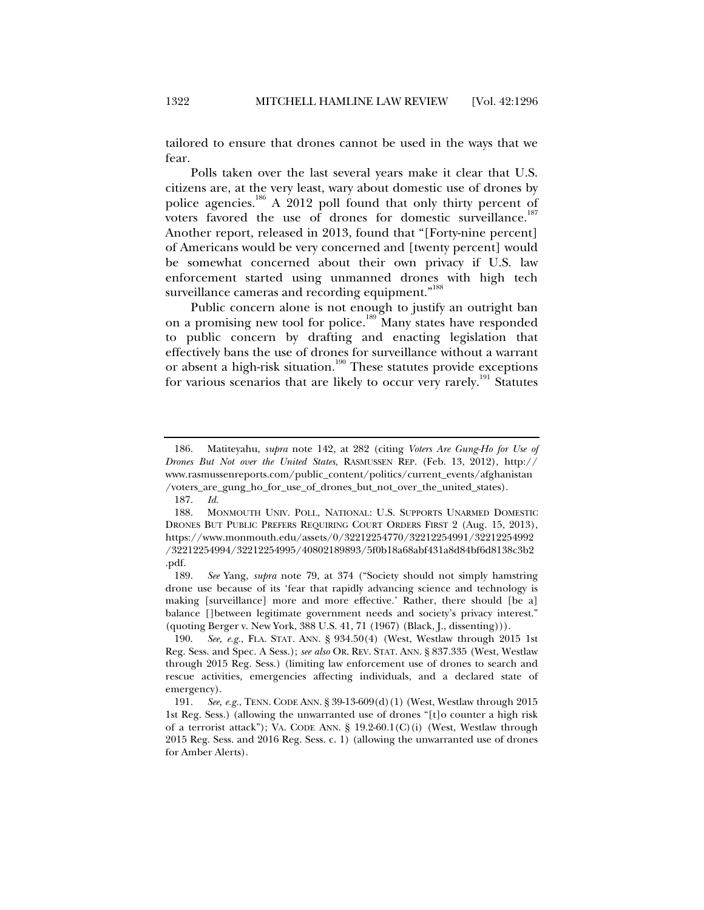tailored to ensure that drones cannot be used in the ways that we fear.

Polls taken over the last several years make it clear that U.S. citizens are, at the very least, wary about domestic use of drones by police agencies.<sup>186</sup> A 2012 poll found that only thirty percent of voters favored the use of drones for domestic surveillance.<sup>187</sup> Another report, released in 2013, found that "[Forty-nine percent] of Americans would be very concerned and [twenty percent] would be somewhat concerned about their own privacy if U.S. law enforcement started using unmanned drones with high tech surveillance cameras and recording equipment."<sup>188</sup>

Public concern alone is not enough to justify an outright ban on a promising new tool for police.<sup>189</sup> Many states have responded to public concern by drafting and enacting legislation that effectively bans the use of drones for surveillance without a warrant or absent a high-risk situation.<sup>190</sup> These statutes provide exceptions for various scenarios that are likely to occur very rarely.<sup>191</sup> Statutes

 <sup>186.</sup> Matiteyahu, *supra* note 142, at 282 (citing *Voters Are Gung-Ho for Use of Drones But Not over the United States*, RASMUSSEN REP. (Feb. 13, 2012), http:// www.rasmussenreports.com/public\_content/politics/current\_events/afghanistan /voters\_are\_gung\_ho\_for\_use\_of\_drones\_but\_not\_over\_the\_united\_states).

 <sup>187.</sup> *Id.*

 <sup>188.</sup> MONMOUTH UNIV. POLL, NATIONAL: U.S. SUPPORTS UNARMED DOMESTIC DRONES BUT PUBLIC PREFERS REQUIRING COURT ORDERS FIRST 2 (Aug. 15, 2013), https://www.monmouth.edu/assets/0/32212254770/32212254991/32212254992 /32212254994/32212254995/40802189893/5f0b18a68abf431a8d84bf6d8138c3b2 .pdf.

 <sup>189.</sup> *See* Yang, *supra* note 79, at 374 ("Society should not simply hamstring drone use because of its 'fear that rapidly advancing science and technology is making [surveillance] more and more effective.' Rather, there should [be a] balance []between legitimate government needs and society's privacy interest." (quoting Berger v. New York, 388 U.S. 41, 71 (1967) (Black, J., dissenting))).

 <sup>190.</sup> *See, e.g.*, FLA. STAT. ANN. § 934.50(4) (West, Westlaw through 2015 1st Reg. Sess. and Spec. A Sess.); *see also* OR. REV. STAT. ANN. § 837.335 (West, Westlaw through 2015 Reg. Sess.) (limiting law enforcement use of drones to search and rescue activities, emergencies affecting individuals, and a declared state of emergency).

 <sup>191.</sup> *See, e.g.*, TENN. CODE ANN. § 39-13-609(d)(1) (West, Westlaw through 2015 1st Reg. Sess.) (allowing the unwarranted use of drones "[t]o counter a high risk of a terrorist attack"); VA. CODE ANN. § 19.2-60.1(C)(i) (West, Westlaw through 2015 Reg. Sess. and 2016 Reg. Sess. c. 1) (allowing the unwarranted use of drones for Amber Alerts).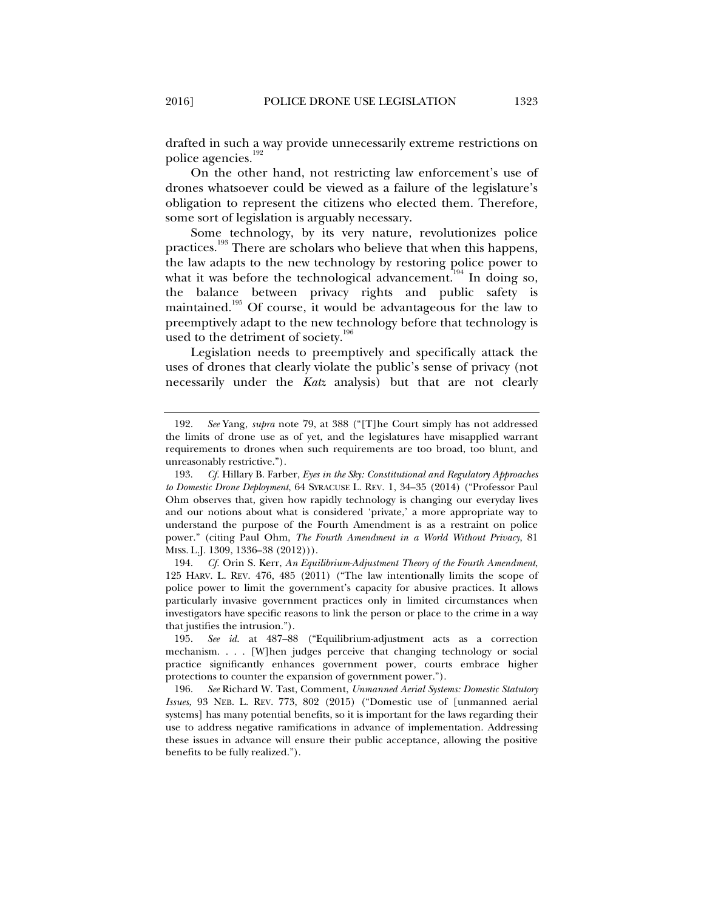drafted in such a way provide unnecessarily extreme restrictions on police agencies.<sup>192</sup>

On the other hand, not restricting law enforcement's use of drones whatsoever could be viewed as a failure of the legislature's obligation to represent the citizens who elected them. Therefore, some sort of legislation is arguably necessary.

Some technology, by its very nature, revolutionizes police practices.193 There are scholars who believe that when this happens, the law adapts to the new technology by restoring police power to what it was before the technological advancement.<sup>194</sup> In doing so, the balance between privacy rights and public safety is maintained.<sup>195</sup> Of course, it would be advantageous for the law to preemptively adapt to the new technology before that technology is used to the detriment of society.<sup>196</sup>

Legislation needs to preemptively and specifically attack the uses of drones that clearly violate the public's sense of privacy (not necessarily under the *Katz* analysis) but that are not clearly

 194. *Cf.* Orin S. Kerr, *An Equilibrium-Adjustment Theory of the Fourth Amendment*, 125 HARV. L. REV. 476, 485 (2011) ("The law intentionally limits the scope of police power to limit the government's capacity for abusive practices. It allows particularly invasive government practices only in limited circumstances when investigators have specific reasons to link the person or place to the crime in a way that justifies the intrusion.").

 <sup>192.</sup> *See* Yang, *supra* note 79, at 388 ("[T]he Court simply has not addressed the limits of drone use as of yet, and the legislatures have misapplied warrant requirements to drones when such requirements are too broad, too blunt, and unreasonably restrictive.")*.*

 <sup>193.</sup> *Cf.* Hillary B. Farber, *Eyes in the Sky: Constitutional and Regulatory Approaches to Domestic Drone Deployment*, 64 SYRACUSE L. REV. 1, 34–35 (2014) ("Professor Paul Ohm observes that, given how rapidly technology is changing our everyday lives and our notions about what is considered 'private,' a more appropriate way to understand the purpose of the Fourth Amendment is as a restraint on police power." (citing Paul Ohm, *The Fourth Amendment in a World Without Privacy*, 81 MISS. L.J. 1309, 1336–38 (2012))).

 <sup>195.</sup> *See id.* at 487–88 ("Equilibrium-adjustment acts as a correction mechanism. . . . [W]hen judges perceive that changing technology or social practice significantly enhances government power, courts embrace higher protections to counter the expansion of government power.").

 <sup>196.</sup> *See* Richard W. Tast, Comment, *Unmanned Aerial Systems: Domestic Statutory Issues*, 93 NEB. L. REV. 773, 802 (2015) ("Domestic use of [unmanned aerial systems] has many potential benefits, so it is important for the laws regarding their use to address negative ramifications in advance of implementation. Addressing these issues in advance will ensure their public acceptance, allowing the positive benefits to be fully realized.").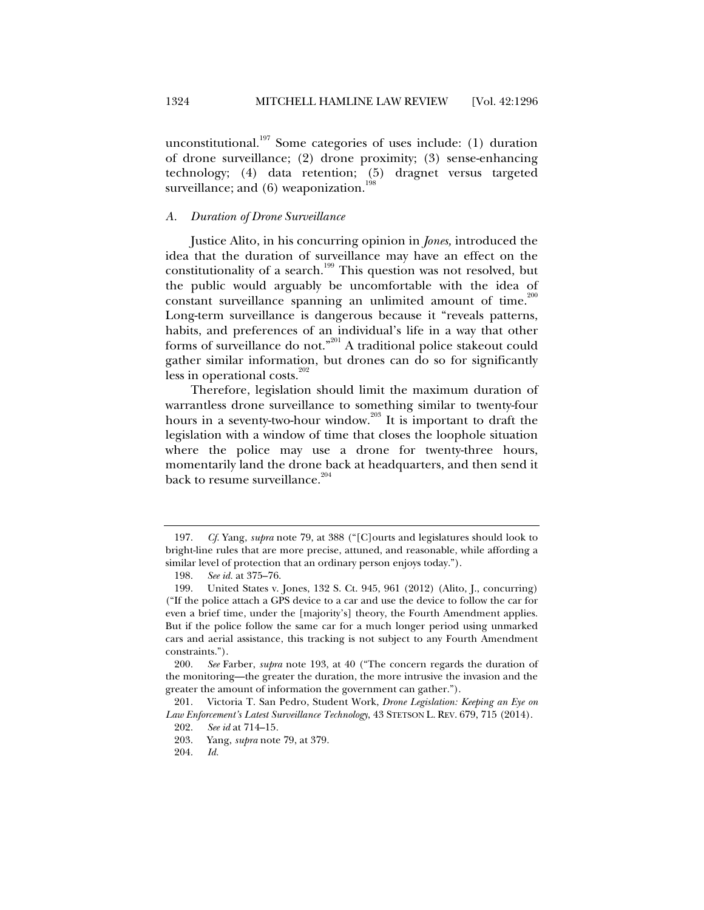unconstitutional.<sup>197</sup> Some categories of uses include: (1) duration of drone surveillance; (2) drone proximity; (3) sense-enhancing technology; (4) data retention; (5) dragnet versus targeted surveillance; and (6) weaponization.

#### *A. Duration of Drone Surveillance*

Justice Alito, in his concurring opinion in *Jones,* introduced the idea that the duration of surveillance may have an effect on the constitutionality of a search.<sup>199</sup> This question was not resolved, but the public would arguably be uncomfortable with the idea of constant surveillance spanning an unlimited amount of time.<sup>200</sup> Long-term surveillance is dangerous because it "reveals patterns, habits, and preferences of an individual's life in a way that other forms of surveillance do not."<sup>201</sup> A traditional police stakeout could gather similar information, but drones can do so for significantly less in operational costs. $202$ 

Therefore, legislation should limit the maximum duration of warrantless drone surveillance to something similar to twenty-four hours in a seventy-two-hour window.<sup>203</sup> It is important to draft the legislation with a window of time that closes the loophole situation where the police may use a drone for twenty-three hours, momentarily land the drone back at headquarters, and then send it back to resume surveillance.<sup>204</sup>

 <sup>197.</sup> *Cf.* Yang, *supra* note 79, at 388 ("[C]ourts and legislatures should look to bright-line rules that are more precise, attuned, and reasonable, while affording a similar level of protection that an ordinary person enjoys today.").

 <sup>198.</sup> *See id.* at 375–76.

 <sup>199.</sup> United States v. Jones, 132 S. Ct. 945, 961 (2012) (Alito, J., concurring) ("If the police attach a GPS device to a car and use the device to follow the car for even a brief time, under the [majority's] theory, the Fourth Amendment applies. But if the police follow the same car for a much longer period using unmarked cars and aerial assistance, this tracking is not subject to any Fourth Amendment constraints.").

 <sup>200.</sup> *See* Farber, *supra* note 193, at 40 ("The concern regards the duration of the monitoring—the greater the duration, the more intrusive the invasion and the greater the amount of information the government can gather.").

 <sup>201.</sup> Victoria T. San Pedro, Student Work, *Drone Legislation: Keeping an Eye on Law Enforcement's Latest Surveillance Technology*, 43 STETSON L. REV. 679, 715 (2014).

 <sup>202.</sup> *See id* at 714–15*.*

 <sup>203.</sup> Yang, *supra* note 79, at 379.

 <sup>204.</sup> *Id.*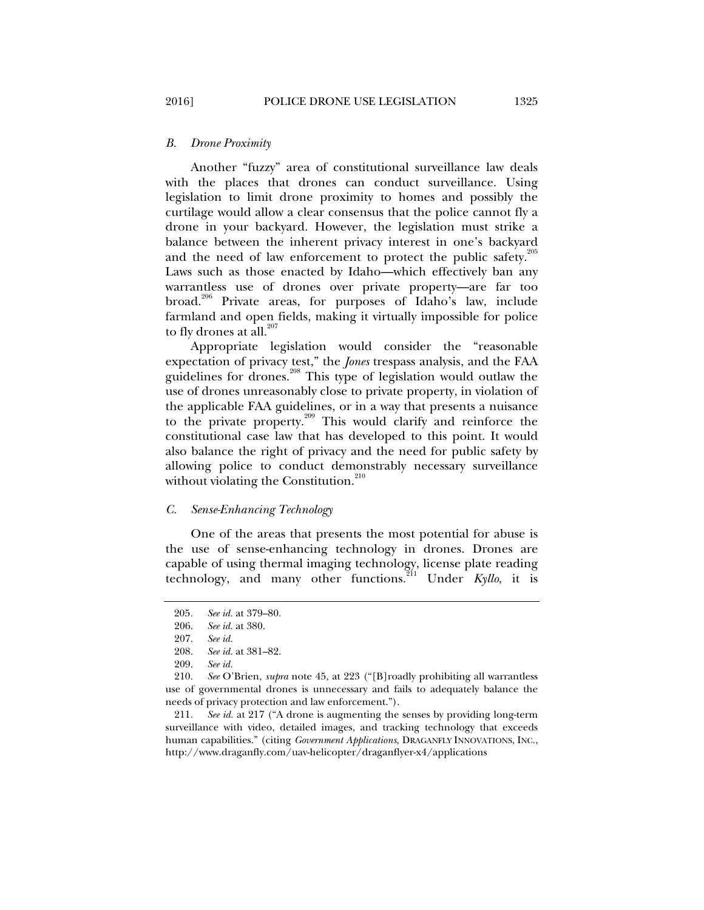#### *B. Drone Proximity*

Another "fuzzy" area of constitutional surveillance law deals with the places that drones can conduct surveillance. Using legislation to limit drone proximity to homes and possibly the curtilage would allow a clear consensus that the police cannot fly a drone in your backyard. However, the legislation must strike a balance between the inherent privacy interest in one's backyard and the need of law enforcement to protect the public safety.<sup>205</sup> Laws such as those enacted by Idaho—which effectively ban any warrantless use of drones over private property—are far too broad.<sup>206</sup> Private areas, for purposes of Idaho's law, include farmland and open fields, making it virtually impossible for police to fly drones at all. $207$ 

Appropriate legislation would consider the "reasonable expectation of privacy test," the *Jones* trespass analysis, and the FAA guidelines for drones.<sup>208</sup> This type of legislation would outlaw the use of drones unreasonably close to private property, in violation of the applicable FAA guidelines, or in a way that presents a nuisance to the private property.<sup>209</sup> This would clarify and reinforce the constitutional case law that has developed to this point. It would also balance the right of privacy and the need for public safety by allowing police to conduct demonstrably necessary surveillance without violating the Constitution. $210$ 

#### *C. Sense-Enhancing Technology*

One of the areas that presents the most potential for abuse is the use of sense-enhancing technology in drones. Drones are capable of using thermal imaging technology, license plate reading technology, and many other functions.<sup>211</sup> Under *Kyllo*, it is

 211. *See id.* at 217 ("A drone is augmenting the senses by providing long-term surveillance with video, detailed images, and tracking technology that exceeds human capabilities." (citing *Government Applications*, DRAGANFLY INNOVATIONS, INC., http://www.draganfly.com/uav-helicopter/draganflyer-x4/applications

<sup>205</sup>*. See id.* at 379–80.

 <sup>206.</sup> *See id.* at 380.

 <sup>207.</sup> *See id.*

 <sup>208.</sup> *See id.* at 381–82.

 <sup>209.</sup> *See id.*

 <sup>210.</sup> *See* O'Brien, *supra* note 45, at 223 ("[B]roadly prohibiting all warrantless use of governmental drones is unnecessary and fails to adequately balance the needs of privacy protection and law enforcement.").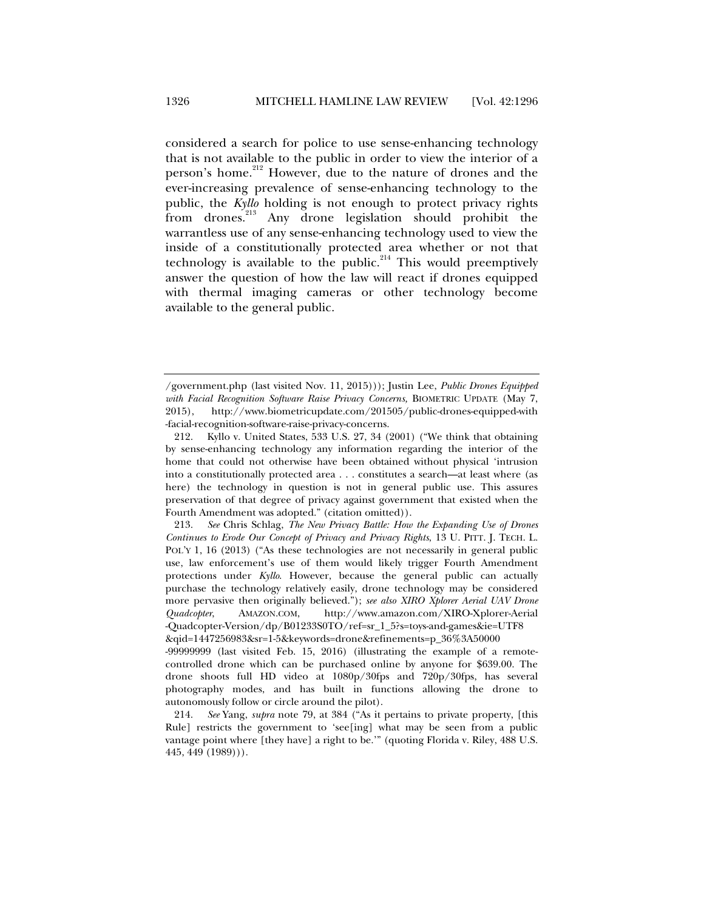considered a search for police to use sense-enhancing technology that is not available to the public in order to view the interior of a person's home.<sup>212</sup> However, due to the nature of drones and the ever-increasing prevalence of sense-enhancing technology to the public, the *Kyllo* holding is not enough to protect privacy rights from drones.213 Any drone legislation should prohibit the warrantless use of any sense-enhancing technology used to view the inside of a constitutionally protected area whether or not that technology is available to the public.<sup>214</sup> This would preemptively answer the question of how the law will react if drones equipped with thermal imaging cameras or other technology become available to the general public.

<sup>/</sup>government.php (last visited Nov. 11, 2015))); Justin Lee, *Public Drones Equipped with Facial Recognition Software Raise Privacy Concerns,* BIOMETRIC UPDATE (May 7, 2015), http://www.biometricupdate.com/201505/public-drones-equipped-with -facial-recognition-software-raise-privacy-concerns.

 <sup>212.</sup> Kyllo v. United States, 533 U.S. 27, 34 (2001) ("We think that obtaining by sense-enhancing technology any information regarding the interior of the home that could not otherwise have been obtained without physical 'intrusion into a constitutionally protected area . . . constitutes a search—at least where (as here) the technology in question is not in general public use. This assures preservation of that degree of privacy against government that existed when the Fourth Amendment was adopted." (citation omitted)).

 <sup>213.</sup> *See* Chris Schlag, *The New Privacy Battle: How the Expanding Use of Drones Continues to Erode Our Concept of Privacy and Privacy Rights*, 13 U. PITT. J. TECH. L. POL'Y 1, 16 (2013) ("As these technologies are not necessarily in general public use, law enforcement's use of them would likely trigger Fourth Amendment protections under *Kyllo*. However, because the general public can actually purchase the technology relatively easily, drone technology may be considered more pervasive then originally believed."); *see also XIRO Xplorer Aerial UAV Drone Quadcopter*, AMAZON.COM, http://www.amazon.com/XIRO-Xplorer-Aerial -Quadcopter-Version/dp/B01233S0TO/ref=sr\_1\_5?s=toys-and-games&ie=UTF8 &qid=1447256983&sr=1-5&keywords=drone&refinements=p\_36%3A50000

<sup>-99999999 (</sup>last visited Feb. 15, 2016) (illustrating the example of a remotecontrolled drone which can be purchased online by anyone for \$639.00. The drone shoots full HD video at 1080p/30fps and 720p/30fps, has several photography modes, and has built in functions allowing the drone to autonomously follow or circle around the pilot).

 <sup>214.</sup> *See* Yang, *supra* note 79, at 384 ("As it pertains to private property, [this Rule] restricts the government to 'see[ing] what may be seen from a public vantage point where [they have] a right to be.'" (quoting Florida v. Riley, 488 U.S. 445, 449 (1989))).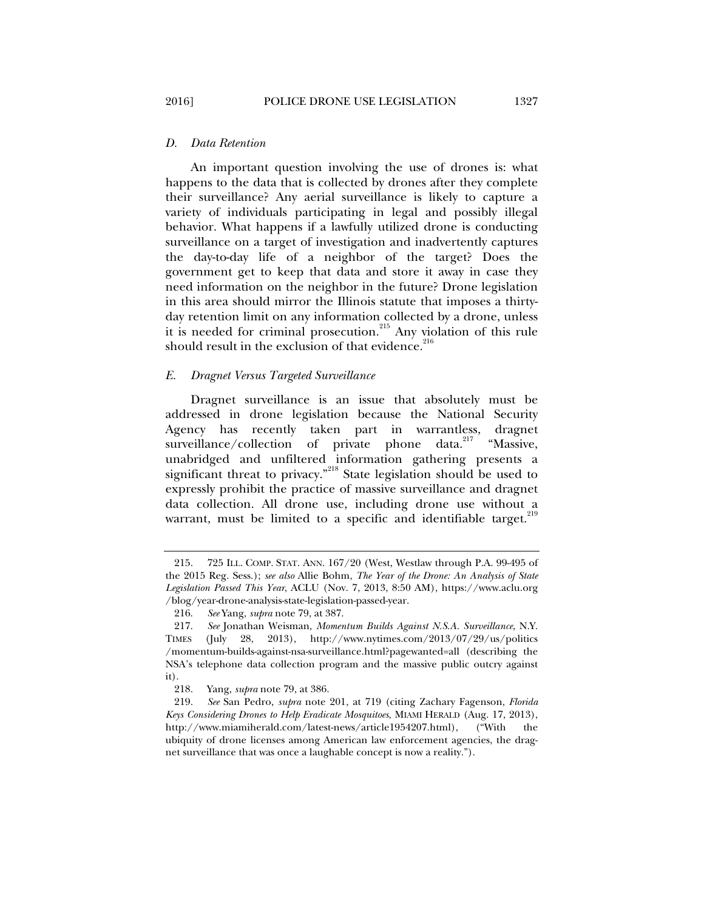An important question involving the use of drones is: what happens to the data that is collected by drones after they complete their surveillance? Any aerial surveillance is likely to capture a variety of individuals participating in legal and possibly illegal behavior. What happens if a lawfully utilized drone is conducting surveillance on a target of investigation and inadvertently captures the day-to-day life of a neighbor of the target? Does the government get to keep that data and store it away in case they need information on the neighbor in the future? Drone legislation in this area should mirror the Illinois statute that imposes a thirtyday retention limit on any information collected by a drone, unless it is needed for criminal prosecution.<sup>215</sup> Any violation of this rule should result in the exclusion of that evidence. $^{216}$ 

#### *E. Dragnet Versus Targeted Surveillance*

Dragnet surveillance is an issue that absolutely must be addressed in drone legislation because the National Security Agency has recently taken part in warrantless, dragnet surveillance/collection of private phone data.<sup>217</sup> "Massive. surveillance/collection of private phone unabridged and unfiltered information gathering presents a significant threat to privacy."<sup>218</sup> State legislation should be used to expressly prohibit the practice of massive surveillance and dragnet data collection. All drone use, including drone use without a warrant, must be limited to a specific and identifiable target.<sup>219</sup>

 <sup>215. 725</sup> ILL. COMP. STAT. ANN. 167/20 (West, Westlaw through P.A. 99-495 of the 2015 Reg. Sess.); *see also* Allie Bohm, *The Year of the Drone: An Analysis of State Legislation Passed This Year*, ACLU (Nov. 7, 2013, 8:50 AM), https://www.aclu.org /blog/year-drone-analysis-state-legislation-passed-year.

 <sup>216.</sup> *See* Yang, *supra* note 79, at 387.

 <sup>217.</sup> *See* Jonathan Weisman, *Momentum Builds Against N.S.A. Surveillance*, N.Y. TIMES (July 28, 2013), http://www.nytimes.com/2013/07/29/us/politics /momentum-builds-against-nsa-surveillance.html?pagewanted=all (describing the NSA's telephone data collection program and the massive public outcry against it).

 <sup>218.</sup> Yang, *supra* note 79, at 386.

 <sup>219.</sup> *See* San Pedro, *supra* note 201, at 719 (citing Zachary Fagenson, *Florida Keys Considering Drones to Help Eradicate Mosquitoes*, MIAMI HERALD (Aug. 17, 2013), http://www.miamiherald.com/latest-news/article1954207.html), ("With the ubiquity of drone licenses among American law enforcement agencies, the dragnet surveillance that was once a laughable concept is now a reality.").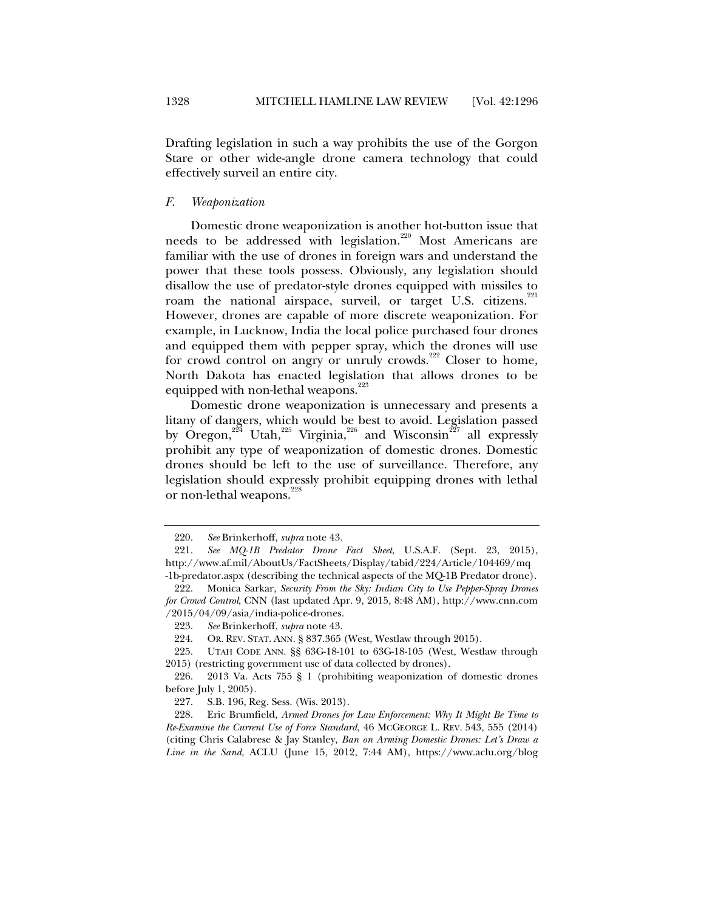Drafting legislation in such a way prohibits the use of the Gorgon Stare or other wide-angle drone camera technology that could effectively surveil an entire city.

#### *F. Weaponization*

Domestic drone weaponization is another hot-button issue that needs to be addressed with legislation.<sup>220</sup> Most Americans are familiar with the use of drones in foreign wars and understand the power that these tools possess. Obviously, any legislation should disallow the use of predator-style drones equipped with missiles to roam the national airspace, surveil, or target U.S. citizens.<sup>221</sup> However, drones are capable of more discrete weaponization. For example, in Lucknow, India the local police purchased four drones and equipped them with pepper spray, which the drones will use for crowd control on angry or unruly crowds.<sup>222</sup> Closer to home, North Dakota has enacted legislation that allows drones to be equipped with non-lethal weapons.<sup>223</sup>

Domestic drone weaponization is unnecessary and presents a litany of dangers, which would be best to avoid. Legislation passed by Oregon,<sup>224</sup> Utah,<sup>225</sup> Virginia,<sup>226</sup> and Wisconsin<sup>227</sup> all expressly prohibit any type of weaponization of domestic drones. Domestic drones should be left to the use of surveillance. Therefore, any legislation should expressly prohibit equipping drones with lethal or non-lethal weapons.<sup>228</sup>

 <sup>220.</sup> *See* Brinkerhoff, *supra* note 43.

 <sup>221.</sup> *See MQ-1B Predator Drone Fact Sheet*, U.S.A.F. (Sept. 23, 2015), http://www.af.mil/AboutUs/FactSheets/Display/tabid/224/Article/104469/mq -1b-predator.aspx (describing the technical aspects of the MQ-1B Predator drone).

 <sup>222.</sup> Monica Sarkar, *Security From the Sky: Indian City to Use Pepper-Spray Drones for Crowd Control*, CNN (last updated Apr. 9, 2015, 8:48 AM), http://www.cnn.com /2015/04/09/asia/india-police-drones.

 <sup>223.</sup> *See* Brinkerhoff, *supra* note 43.

 <sup>224.</sup> OR. REV. STAT. ANN. § 837.365 (West, Westlaw through 2015).

 <sup>225.</sup> UTAH CODE ANN. §§ 63G-18-101 to 63G-18-105 (West, Westlaw through 2015) (restricting government use of data collected by drones).

 <sup>226. 2013</sup> Va. Acts 755 § 1 (prohibiting weaponization of domestic drones before July 1, 2005).

 <sup>227.</sup> S.B. 196, Reg. Sess. (Wis. 2013).

 <sup>228.</sup> Eric Brumfield, *Armed Drones for Law Enforcement: Why It Might Be Time to Re-Examine the Current Use of Force Standard*, 46 MCGEORGE L. REV. 543, 555 (2014) (citing Chris Calabrese & Jay Stanley, *Ban on Arming Domestic Drones: Let's Draw a Line in the Sand*, ACLU (June 15, 2012, 7:44 AM), https://www.aclu.org/blog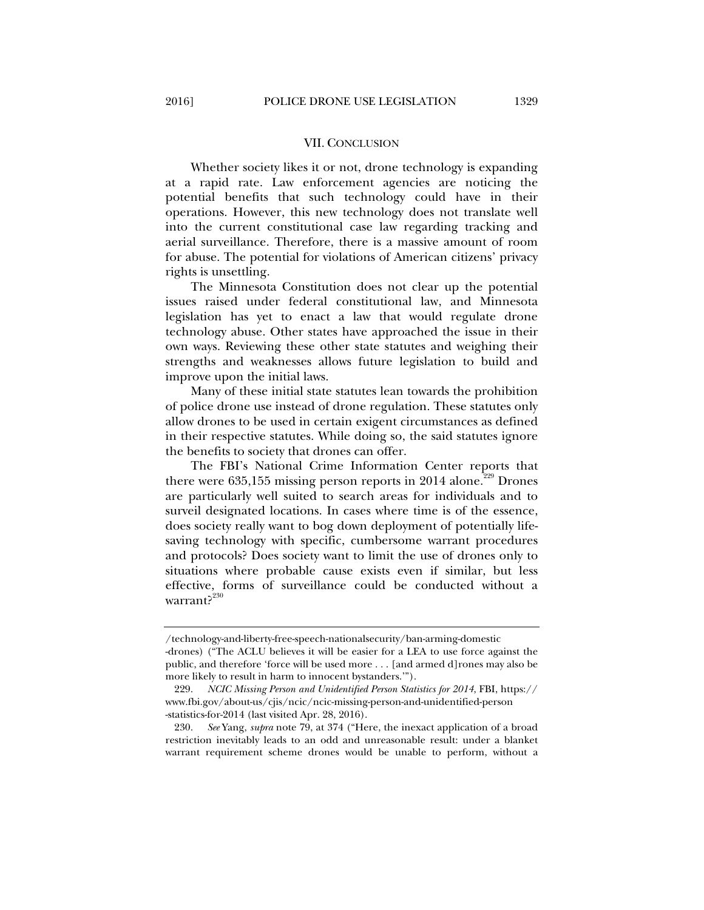#### VII. CONCLUSION

Whether society likes it or not, drone technology is expanding at a rapid rate. Law enforcement agencies are noticing the potential benefits that such technology could have in their operations. However, this new technology does not translate well into the current constitutional case law regarding tracking and aerial surveillance. Therefore, there is a massive amount of room for abuse. The potential for violations of American citizens' privacy rights is unsettling.

The Minnesota Constitution does not clear up the potential issues raised under federal constitutional law, and Minnesota legislation has yet to enact a law that would regulate drone technology abuse. Other states have approached the issue in their own ways. Reviewing these other state statutes and weighing their strengths and weaknesses allows future legislation to build and improve upon the initial laws.

Many of these initial state statutes lean towards the prohibition of police drone use instead of drone regulation. These statutes only allow drones to be used in certain exigent circumstances as defined in their respective statutes. While doing so, the said statutes ignore the benefits to society that drones can offer.

The FBI's National Crime Information Center reports that there were  $635,155$  missing person reports in 2014 alone.<sup>229</sup> Drones are particularly well suited to search areas for individuals and to surveil designated locations. In cases where time is of the essence, does society really want to bog down deployment of potentially lifesaving technology with specific, cumbersome warrant procedures and protocols? Does society want to limit the use of drones only to situations where probable cause exists even if similar, but less effective, forms of surveillance could be conducted without a warrant?<sup>230</sup>

<sup>/</sup>technology-and-liberty-free-speech-nationalsecurity/ban-arming-domestic

<sup>-</sup>drones) ("The ACLU believes it will be easier for a LEA to use force against the public, and therefore 'force will be used more . . . [and armed d]rones may also be more likely to result in harm to innocent bystanders.'").

 <sup>229.</sup> *NCIC Missing Person and Unidentified Person Statistics for 2014*, FBI, https:// www.fbi.gov/about-us/cjis/ncic/ncic-missing-person-and-unidentified-person -statistics-for-2014 (last visited Apr. 28, 2016).

 <sup>230.</sup> *See* Yang, *supra* note 79, at 374 ("Here, the inexact application of a broad restriction inevitably leads to an odd and unreasonable result: under a blanket warrant requirement scheme drones would be unable to perform, without a